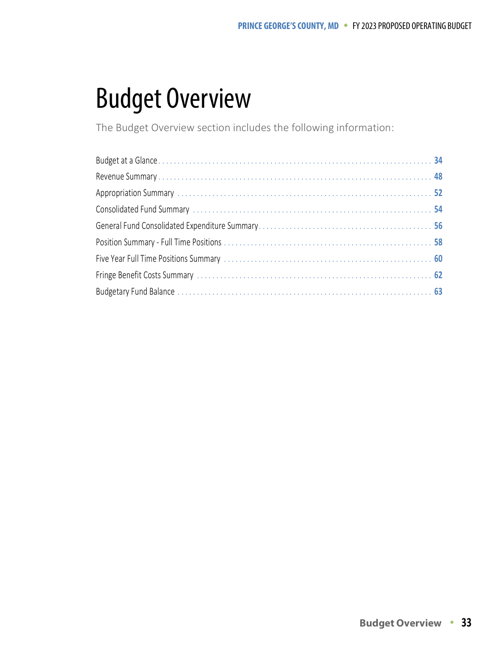# Budget Overview

The Budget Overview section includes the following information: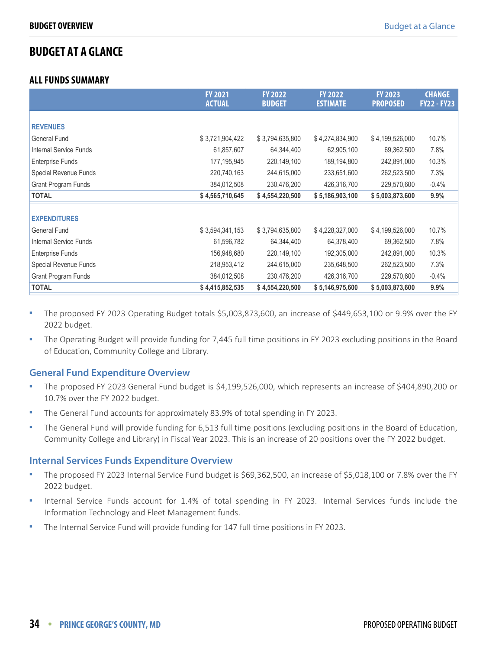## <span id="page-1-0"></span>**BUDGET AT A GLANCE**

#### **ALL FUNDS SUMMARY**

|                               | <b>FY 2021</b><br><b>ACTUAL</b> | <b>FY 2022</b><br><b>BUDGET</b> | <b>FY 2022</b><br><b>ESTIMATE</b> | <b>FY 2023</b><br><b>PROPOSED</b> | <b>CHANGE</b><br><b>FY22 - FY23</b> |
|-------------------------------|---------------------------------|---------------------------------|-----------------------------------|-----------------------------------|-------------------------------------|
|                               |                                 |                                 |                                   |                                   |                                     |
| <b>REVENUES</b>               |                                 |                                 |                                   |                                   |                                     |
| <b>General Fund</b>           | \$3,721,904,422                 | \$3,794,635,800                 | \$4,274,834,900                   | \$4,199,526,000                   | 10.7%                               |
| <b>Internal Service Funds</b> | 61,857,607                      | 64,344,400                      | 62,905,100                        | 69,362,500                        | 7.8%                                |
| <b>Enterprise Funds</b>       | 177, 195, 945                   | 220,149,100                     | 189,194,800                       | 242,891,000                       | 10.3%                               |
| Special Revenue Funds         | 220,740,163                     | 244,615,000                     | 233,651,600                       | 262,523,500                       | 7.3%                                |
| Grant Program Funds           | 384,012,508                     | 230,476,200                     | 426,316,700                       | 229,570,600                       | $-0.4%$                             |
| <b>TOTAL</b>                  | \$4,565,710,645                 | \$4,554,220,500                 | \$5,186,903,100                   | \$5,003,873,600                   | 9.9%                                |
|                               |                                 |                                 |                                   |                                   |                                     |
| <b>EXPENDITURES</b>           |                                 |                                 |                                   |                                   |                                     |
| <b>General Fund</b>           | \$3,594,341,153                 | \$3,794,635,800                 | \$4,228,327,000                   | \$4,199,526,000                   | 10.7%                               |
| <b>Internal Service Funds</b> | 61,596,782                      | 64,344,400                      | 64,378,400                        | 69,362,500                        | 7.8%                                |
| <b>Enterprise Funds</b>       | 156,948,680                     | 220,149,100                     | 192,305,000                       | 242,891,000                       | 10.3%                               |
| Special Revenue Funds         | 218,953,412                     | 244,615,000                     | 235,648,500                       | 262,523,500                       | 7.3%                                |
| <b>Grant Program Funds</b>    | 384,012,508                     | 230,476,200                     | 426,316,700                       | 229,570,600                       | $-0.4%$                             |
| <b>TOTAL</b>                  | \$4,415,852,535                 | \$4,554,220,500                 | \$5,146,975,600                   | \$5,003,873,600                   | 9.9%                                |

- The proposed FY 2023 Operating Budget totals \$5,003,873,600, an increase of \$449,653,100 or 9.9% over the FY 2022 budget.
- The Operating Budget will provide funding for 7,445 full time positions in FY 2023 excluding positions in the Board of Education, Community College and Library.

#### **General Fund Expenditure Overview**

- The proposed FY 2023 General Fund budget is \$4,199,526,000, which represents an increase of \$404,890,200 or 10.7% over the FY 2022 budget.
- **The General Fund accounts for approximately 83.9% of total spending in FY 2023.**
- The General Fund will provide funding for 6,513 full time positions (excluding positions in the Board of Education, Community College and Library) in Fiscal Year 2023. This is an increase of 20 positions over the FY 2022 budget.

#### **Internal Services Funds Expenditure Overview**

- The proposed FY 2023 Internal Service Fund budget is \$69,362,500, an increase of \$5,018,100 or 7.8% over the FY 2022 budget.
- Internal Service Funds account for 1.4% of total spending in FY 2023. Internal Services funds include the Information Technology and Fleet Management funds.
- The Internal Service Fund will provide funding for 147 full time positions in FY 2023.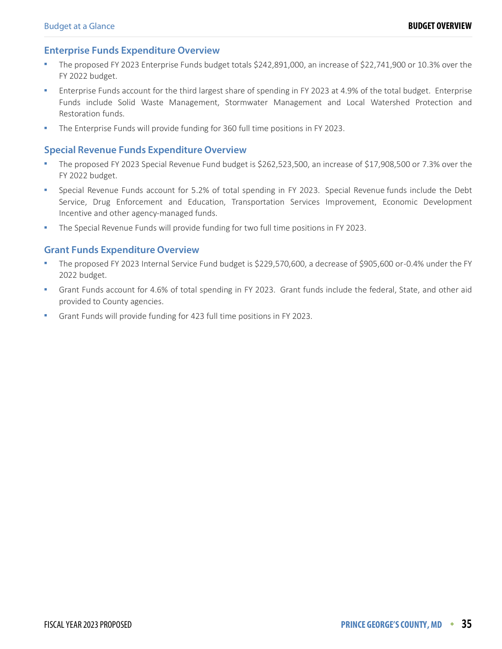#### **Enterprise Funds Expenditure Overview**

- The proposed FY 2023 Enterprise Funds budget totals \$242,891,000, an increase of \$22,741,900 or 10.3% over the FY 2022 budget.
- Enterprise Funds account for the third largest share of spending in FY 2023 at 4.9% of the total budget. Enterprise Funds include Solid Waste Management, Stormwater Management and Local Watershed Protection and Restoration funds.
- The Enterprise Funds will provide funding for 360 full time positions in FY 2023.

#### **Special Revenue Funds Expenditure Overview**

- The proposed FY 2023 Special Revenue Fund budget is \$262,523,500, an increase of \$17,908,500 or 7.3% over the FY 2022 budget.
- Special Revenue Funds account for 5.2% of total spending in FY 2023. Special Revenue funds include the Debt Service, Drug Enforcement and Education, Transportation Services Improvement, Economic Development Incentive and other agency-managed funds.
- The Special Revenue Funds will provide funding for two full time positions in FY 2023.

#### **Grant Funds Expenditure Overview**

- The proposed FY 2023 Internal Service Fund budget is \$229,570,600, a decrease of \$905,600 or -0.4% under the FY 2022 budget.
- Grant Funds account for 4.6% of total spending in FY 2023. Grant funds include the federal, State, and other aid provided to County agencies.
- Grant Funds will provide funding for 423 full time positions in FY 2023.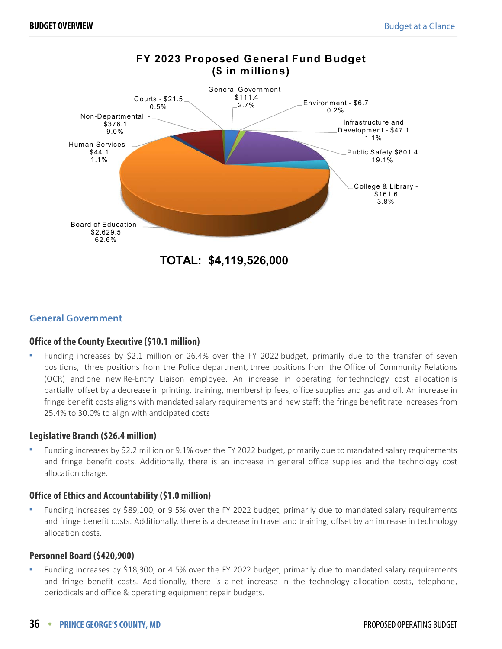

#### **General Government**

#### **Office of the County Executive (\$10.1 million)**

 Funding increases by \$2.1 million or 26.4% over the FY 2022 budget, primarily due to the transfer of seven positions, three positions from the Police department, three positions from the Office of Community Relations (OCR) and one new Re-Entry Liaison employee. An increase in operating for technology cost allocation is partially offset by a decrease in printing, training, membership fees, office supplies and gas and oil. An increase in fringe benefit costs aligns with mandated salary requirements and new staff; the fringe benefit rate increases from 25.4% to 30.0% to align with anticipated costs

#### **Legislative Branch (\$26.4 million)**

 Funding increases by \$2.2 million or 9.1% over the FY 2022 budget, primarily due to mandated salary requirements and fringe benefit costs. Additionally, there is an increase in general office supplies and the technology cost allocation charge.

#### **Office of Ethics and Accountability (\$1.0 million)**

 Funding increases by \$89,100, or 9.5% over the FY 2022 budget, primarily due to mandated salary requirements and fringe benefit costs. Additionally, there is a decrease in travel and training, offset by an increase in technology allocation costs.

#### **Personnel Board (\$420,900)**

 Funding increases by \$18,300, or 4.5% over the FY 2022 budget, primarily due to mandated salary requirements and fringe benefit costs. Additionally, there is a net increase in the technology allocation costs, telephone, periodicals and office & operating equipment repair budgets.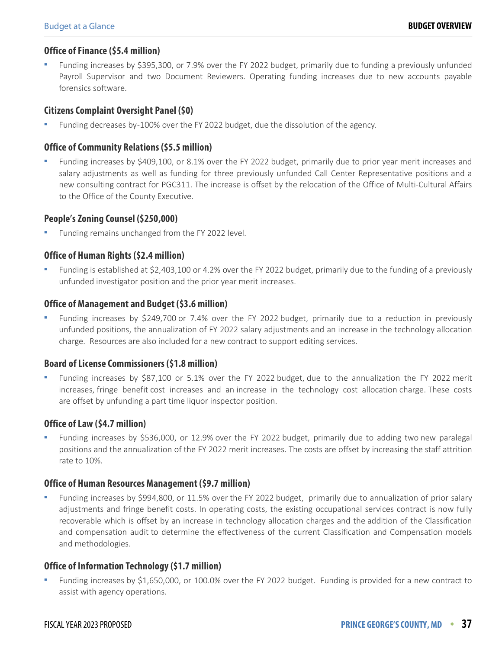#### **Office of Finance (\$5.4 million)**

 Funding increases by \$395,300, or 7.9% over the FY 2022 budget, primarily due to funding a previously unfunded Payroll Supervisor and two Document Reviewers. Operating funding increases due to new accounts payable forensics software.

#### **Citizens Complaint Oversight Panel (\$0)**

Funding decreases by -100% over the FY 2022 budget, due the dissolution of the agency.

#### **Office of Community Relations (\$5.5 million)**

 Funding increases by \$409,100, or 8.1% over the FY 2022 budget, primarily due to prior year merit increases and salary adjustments as well as funding for three previously unfunded Call Center Representative positions and a new consulting contract for PGC311. The increase is offset by the relocation of the Office of Multi-Cultural Affairs to the Office of the County Executive.

#### **People's Zoning Counsel (\$250,000)**

Funding remains unchanged from the FY 2022 level.

#### **Office of Human Rights (\$2.4 million)**

 Funding is established at \$2,403,100 or 4.2% over the FY 2022 budget, primarily due to the funding of a previously unfunded investigator position and the prior year merit increases.

#### **Office of Management and Budget (\$3.6 million)**

 Funding increases by \$249,700 or 7.4% over the FY 2022 budget, primarily due to a reduction in previously unfunded positions, the annualization of FY 2022 salary adjustments and an increase in the technology allocation charge. Resources are also included for a new contract to support editing services.

#### **Board of License Commissioners (\$1.8 million)**

 Funding increases by \$87,100 or 5.1% over the FY 2022 budget, due to the annualization the FY 2022 merit increases, fringe benefit cost increases and an increase in the technology cost allocation charge. These costs are offset by unfunding a part time liquor inspector position.

#### **Office of Law (\$4.7 million)**

 Funding increases by \$536,000, or 12.9% over the FY 2022 budget, primarily due to adding two new paralegal positions and the annualization of the FY 2022 merit increases. The costs are offset by increasing the staff attrition rate to 10%.

#### **Office of Human Resources Management (\$9.7 million)**

 Funding increases by \$994,800, or 11.5% over the FY 2022 budget, primarily due to annualization of prior salary adjustments and fringe benefit costs. In operating costs, the existing occupational services contract is now fully recoverable which is offset by an increase in technology allocation charges and the addition of the Classification and compensation audit to determine the effectiveness of the current Classification and Compensation models and methodologies.

#### **Office of Information Technology (\$1.7 million)**

 Funding increases by \$1,650,000, or 100.0% over the FY 2022 budget. Funding is provided for a new contract to assist with agency operations.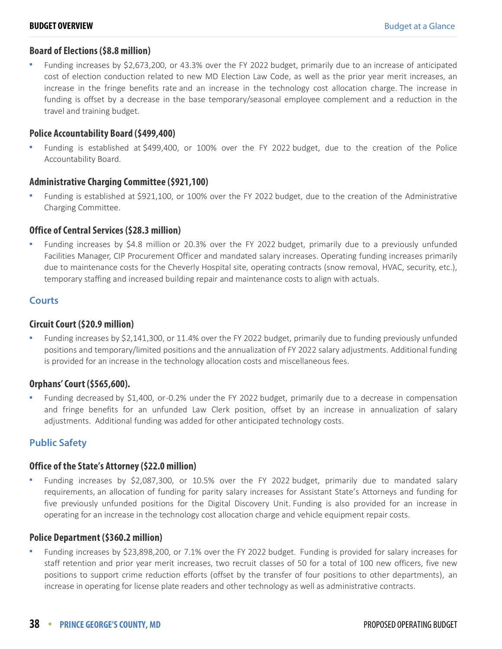#### **Board of Elections (\$8.8 million)**

 Funding increases by \$2,673,200, or 43.3% over the FY 2022 budget, primarily due to an increase of anticipated cost of election conduction related to new MD Election Law Code, as well as the prior year merit increases, an increase in the fringe benefits rate and an increase in the technology cost allocation charge. The increase in funding is offset by a decrease in the base temporary/seasonal employee complement and a reduction in the travel and training budget.

#### **Police Accountability Board (\$499,400)**

 Funding is established at \$499,400, or 100% over the FY 2022 budget, due to the creation of the Police Accountability Board.

#### **Administrative Charging Committee (\$921,100)**

 Funding is established at \$921,100, or 100% over the FY 2022 budget, due to the creation of the Administrative Charging Committee.

#### **Office of Central Services (\$28.3 million)**

 Funding increases by \$4.8 million or 20.3% over the FY 2022 budget, primarily due to a previously unfunded Facilities Manager, CIP Procurement Officer and mandated salary increases. Operating funding increases primarily due to maintenance costs for the Cheverly Hospital site, operating contracts (snow removal, HVAC, security, etc.), temporary staffing and increased building repair and maintenance costs to align with actuals.

#### **Courts**

#### **Circuit Court (\$20.9 million)**

 Funding increases by \$2,141,300, or 11.4% over the FY 2022 budget, primarily due to funding previously unfunded positions and temporary/limited positions and the annualization of FY 2022 salary adjustments. Additional funding is provided for an increase in the technology allocation costs and miscellaneous fees.

#### **Orphans' Court (\$565,600).**

 Funding decreased by \$1,400, or -0.2% under the FY 2022 budget, primarily due to a decrease in compensation and fringe benefits for an unfunded Law Clerk position, offset by an increase in annualization of salary adjustments. Additional funding was added for other anticipated technology costs.

#### **Public Safety**

#### **Office of the State's Attorney (\$22.0 million)**

 Funding increases by \$2,087,300, or 10.5% over the FY 2022 budget, primarily due to mandated salary requirements, an allocation of funding for parity salary increases for Assistant State's Attorneys and funding for five previously unfunded positions for the Digital Discovery Unit. Funding is also provided for an increase in operating for an increase in the technology cost allocation charge and vehicle equipment repair costs.

#### **Police Department (\$360.2 million)**

 Funding increases by \$23,898,200, or 7.1% over the FY 2022 budget. Funding is provided for salary increases for staff retention and prior year merit increases, two recruit classes of 50 for a total of 100 new officers, five new positions to support crime reduction efforts (offset by the transfer of four positions to other departments), an increase in operating for license plate readers and other technology as well as administrative contracts.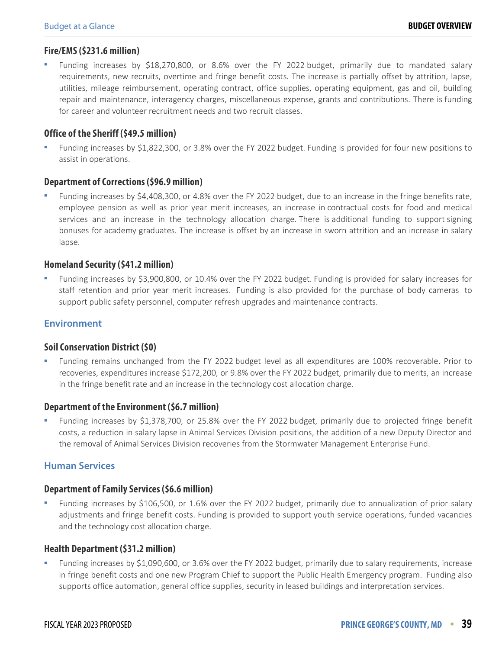#### **Fire/EMS (\$231.6 million)**

 Funding increases by \$18,270,800, or 8.6% over the FY 2022 budget, primarily due to mandated salary requirements, new recruits, overtime and fringe benefit costs. The increase is partially offset by attrition, lapse, utilities, mileage reimbursement, operating contract, office supplies, operating equipment, gas and oil, building repair and maintenance, interagency charges, miscellaneous expense, grants and contributions. There is funding for career and volunteer recruitment needs and two recruit classes.

#### **Office of the Sheriff (\$49.5 million)**

 Funding increases by \$1,822,300, or 3.8% over the FY 2022 budget. Funding is provided for four new positions to assist in operations.

#### **Department of Corrections (\$96.9 million)**

 Funding increases by \$4,408,300, or 4.8% over the FY 2022 budget, due to an increase in the fringe benefits rate, employee pension as well as prior year merit increases, an increase in contractual costs for food and medical services and an increase in the technology allocation charge. There is additional funding to support signing bonuses for academy graduates. The increase is offset by an increase in sworn attrition and an increase in salary lapse.

#### **Homeland Security (\$41.2 million)**

 Funding increases by \$3,900,800, or 10.4% over the FY 2022 budget. Funding is provided for salary increases for staff retention and prior year merit increases. Funding is also provided for the purchase of body cameras to support public safety personnel, computer refresh upgrades and maintenance contracts.

#### **Environment**

#### **Soil Conservation District (\$0)**

 Funding remains unchanged from the FY 2022 budget level as all expenditures are 100% recoverable. Prior to recoveries, expenditures increase \$172,200, or 9.8% over the FY 2022 budget, primarily due to merits, an increase in the fringe benefit rate and an increase in the technology cost allocation charge.

#### **Department of the Environment (\$6.7 million)**

 Funding increases by \$1,378,700, or 25.8% over the FY 2022 budget, primarily due to projected fringe benefit costs, a reduction in salary lapse in Animal Services Division positions, the addition of a new Deputy Director and the removal of Animal Services Division recoveries from the Stormwater Management Enterprise Fund.

#### **Human Services**

#### **Department of Family Services (\$6.6 million)**

 Funding increases by \$106,500, or 1.6% over the FY 2022 budget, primarily due to annualization of prior salary adjustments and fringe benefit costs. Funding is provided to support youth service operations, funded vacancies and the technology cost allocation charge.

#### **Health Department (\$31.2 million)**

 Funding increases by \$1,090,600, or 3.6% over the FY 2022 budget, primarily due to salary requirements, increase in fringe benefit costs and one new Program Chief to support the Public Health Emergency program. Funding also supports office automation, general office supplies, security in leased buildings and interpretation services.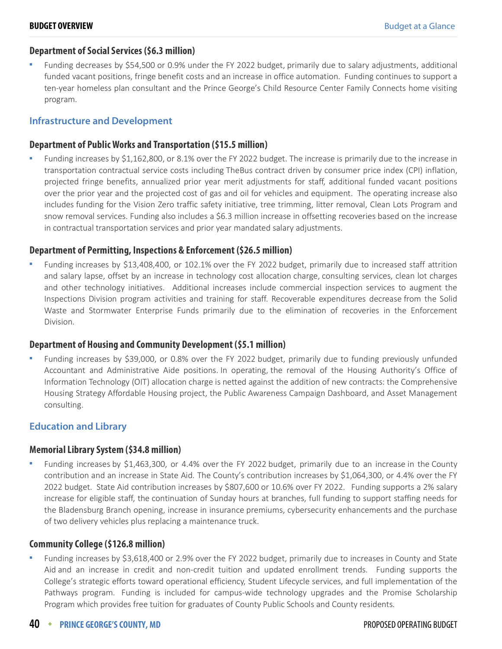#### **Department of Social Services (\$6.3 million)**

 Funding decreases by \$54,500 or 0.9% under the FY 2022 budget, primarily due to salary adjustments, additional funded vacant positions, fringe benefit costs and an increase in office automation. Funding continues to support a ten-year homeless plan consultant and the Prince George's Child Resource Center Family Connects home visiting program.

#### **Infrastructure and Development**

#### **Department of Public Works and Transportation (\$15.5 million)**

 Funding increases by \$1,162,800, or 8.1% over the FY 2022 budget. The increase is primarily due to the increase in transportation contractual service costs including TheBus contract driven by consumer price index (CPI) inflation, projected fringe benefits, annualized prior year merit adjustments for staff, additional funded vacant positions over the prior year and the projected cost of gas and oil for vehicles and equipment. The operating increase also includes funding for the Vision Zero traffic safety initiative, tree trimming, litter removal, Clean Lots Program and snow removal services. Funding also includes a \$6.3 million increase in offsetting recoveries based on the increase in contractual transportation services and prior year mandated salary adjustments.

#### **Department of Permitting, Inspections & Enforcement (\$26.5 million)**

 Funding increases by \$13,408,400, or 102.1% over the FY 2022 budget, primarily due to increased staff attrition and salary lapse, offset by an increase in technology cost allocation charge, consulting services, clean lot charges and other technology initiatives. Additional increases include commercial inspection services to augment the Inspections Division program activities and training for staff. Recoverable expenditures decrease from the Solid Waste and Stormwater Enterprise Funds primarily due to the elimination of recoveries in the Enforcement Division.

#### **Department of Housing and Community Development (\$5.1 million)**

 Funding increases by \$39,000, or 0.8% over the FY 2022 budget, primarily due to funding previously unfunded Accountant and Administrative Aide positions. In operating, the removal of the Housing Authority's Office of Information Technology (OIT) allocation charge is netted against the addition of new contracts: the Comprehensive Housing Strategy Affordable Housing project, the Public Awareness Campaign Dashboard, and Asset Management consulting.

#### **Education and Library**

#### **Memorial Library System (\$34.8 million)**

 Funding increases by \$1,463,300, or 4.4% over the FY 2022 budget, primarily due to an increase in the County contribution and an increase in State Aid. The County's contribution increases by \$1,064,300, or 4.4% over the FY 2022 budget. State Aid contribution increases by \$807,600 or 10.6% over FY 2022. Funding supports a 2% salary increase for eligible staff, the continuation of Sunday hours at branches, full funding to support staffing needs for the Bladensburg Branch opening, increase in insurance premiums, cybersecurity enhancements and the purchase of two delivery vehicles plus replacing a maintenance truck.

#### **Community College (\$126.8 million)**

 Funding increases by \$3,618,400 or 2.9% over the FY 2022 budget, primarily due to increases in County and State Aid and an increase in credit and non-credit tuition and updated enrollment trends. Funding supports the College's strategic efforts toward operational efficiency, Student Lifecycle services, and full implementation of the Pathways program. Funding is included for campus-wide technology upgrades and the Promise Scholarship Program which provides free tuition for graduates of County Public Schools and County residents.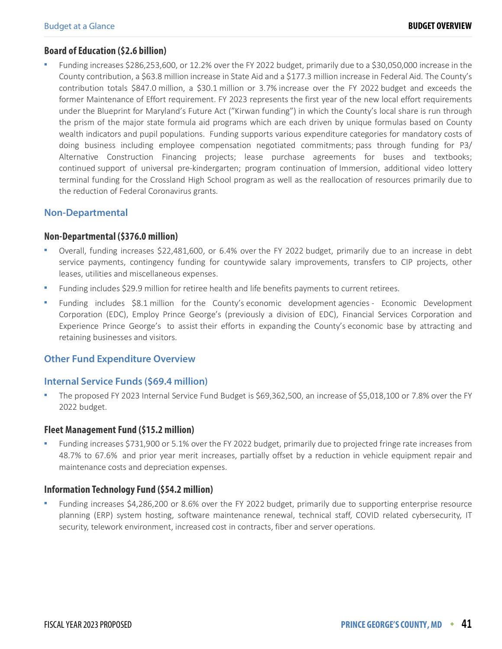#### **Board of Education (\$2.6 billion)**

 Funding increases \$286,253,600, or 12.2% over the FY 2022 budget, primarily due to a \$30,050,000 increase in the County contribution, a \$63.8 million increase in State Aid and a \$177.3 million increase in Federal Aid. The County's contribution totals \$847.0 million, a \$30.1 million or 3.7% increase over the FY 2022 budget and exceeds the former Maintenance of Effort requirement. FY 2023 represents the first year of the new local effort requirements under the Blueprint for Maryland's Future Act ("Kirwan funding") in which the County's local share is run through the prism of the major state formula aid programs which are each driven by unique formulas based on County wealth indicators and pupil populations. Funding supports various expenditure categories for mandatory costs of doing business including employee compensation negotiated commitments; pass through funding for P3/ Alternative Construction Financing projects; lease purchase agreements for buses and textbooks; continued support of universal pre-kindergarten; program continuation of Immersion, additional video lottery terminal funding for the Crossland High School program as well as the reallocation of resources primarily due to the reduction of Federal Coronavirus grants.

#### **Non-Departmental**

#### **Non-Departmental (\$376.0 million)**

- Overall, funding increases \$22,481,600, or 6.4% over the FY 2022 budget, primarily due to an increase in debt service payments, contingency funding for countywide salary improvements, transfers to CIP projects, other leases, utilities and miscellaneous expenses.
- Funding includes \$29.9 million for retiree health and life benefits payments to current retirees.
- Funding includes \$8.1 million for the County's economic development agencies Economic Development Corporation (EDC), Employ Prince George's (previously a division of EDC), Financial Services Corporation and Experience Prince George's to assist their efforts in expanding the County's economic base by attracting and retaining businesses and visitors.

#### **Other Fund Expenditure Overview**

#### **Internal Service Funds (\$69.4 million)**

 The proposed FY 2023 Internal Service Fund Budget is \$69,362,500, an increase of \$5,018,100 or 7.8% over the FY 2022 budget.

#### **Fleet Management Fund (\$15.2 million)**

 Funding increases \$731,900 or 5.1% over the FY 2022 budget, primarily due to projected fringe rate increases from 48.7% to 67.6% and prior year merit increases, partially offset by a reduction in vehicle equipment repair and maintenance costs and depreciation expenses.

#### **Information Technology Fund (\$54.2 million)**

 Funding increases \$4,286,200 or 8.6% over the FY 2022 budget, primarily due to supporting enterprise resource planning (ERP) system hosting, software maintenance renewal, technical staff, COVID related cybersecurity, IT security, telework environment, increased cost in contracts, fiber and server operations.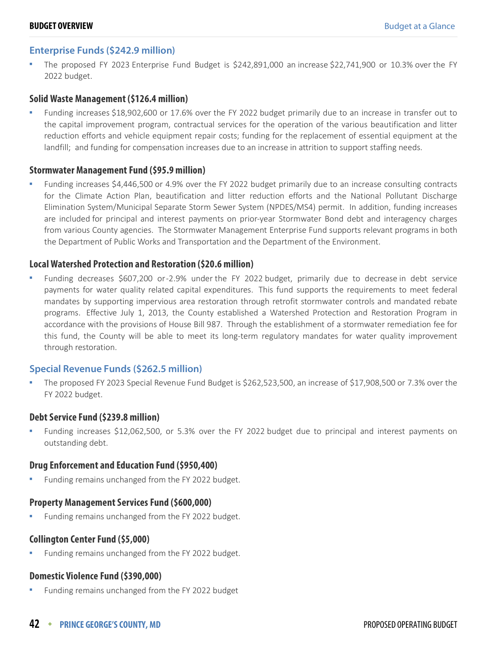#### **Enterprise Funds (\$242.9 million)**

 The proposed FY 2023 Enterprise Fund Budget is \$242,891,000 an increase \$22,741,900 or 10.3% over the FY 2022 budget.

#### **Solid Waste Management (\$126.4 million)**

 Funding increases \$18,902,600 or 17.6% over the FY 2022 budget primarily due to an increase in transfer out to the capital improvement program, contractual services for the operation of the various beautification and litter reduction efforts and vehicle equipment repair costs; funding for the replacement of essential equipment at the landfill; and funding for compensation increases due to an increase in attrition to support staffing needs.

#### **Stormwater Management Fund (\$95.9 million)**

 Funding increases \$4,446,500 or 4.9% over the FY 2022 budget primarily due to an increase consulting contracts for the Climate Action Plan, beautification and litter reduction efforts and the National Pollutant Discharge Elimination System/Municipal Separate Storm Sewer System (NPDES/MS4) permit. In addition, funding increases are included for principal and interest payments on prior-year Stormwater Bond debt and interagency charges from various County agencies. The Stormwater Management Enterprise Fund supports relevant programs in both the Department of Public Works and Transportation and the Department of the Environment.

#### **Local Watershed Protection and Restoration (\$20.6 million)**

 Funding decreases \$607,200 or -2.9% under the FY 2022 budget, primarily due to decrease in debt service payments for water quality related capital expenditures. This fund supports the requirements to meet federal mandates by supporting impervious area restoration through retrofit stormwater controls and mandated rebate programs. Effective July 1, 2013, the County established a Watershed Protection and Restoration Program in accordance with the provisions of House Bill 987. Through the establishment of a stormwater remediation fee for this fund, the County will be able to meet its long-term regulatory mandates for water quality improvement through restoration.

#### **Special Revenue Funds (\$262.5 million)**

 The proposed FY 2023 Special Revenue Fund Budget is \$262,523,500, an increase of \$17,908,500 or 7.3% over the FY 2022 budget.

#### **Debt Service Fund (\$239.8 million)**

 Funding increases \$12,062,500, or 5.3% over the FY 2022 budget due to principal and interest payments on outstanding debt.

#### **Drug Enforcement and Education Fund (\$950,400)**

Funding remains unchanged from the FY 2022 budget.

#### **Property Management Services Fund (\$600,000)**

Funding remains unchanged from the FY 2022 budget.

#### **Collington Center Fund (\$5,000)**

Funding remains unchanged from the FY 2022 budget.

#### **Domestic Violence Fund (\$390,000)**

Funding remains unchanged from the FY 2022 budget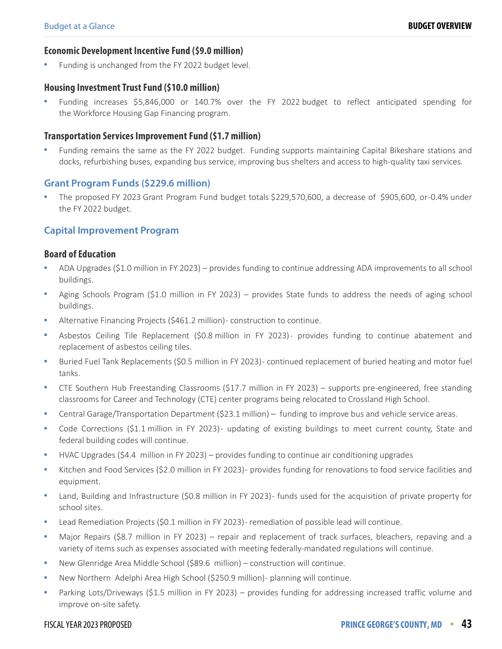#### **Economic Development Incentive Fund (\$9.0 million)**

Funding is unchanged from the FY 2022 budget level.

#### **Housing Investment Trust Fund (\$10.0 million)**

 Funding increases \$5,846,000 or 140.7% over the FY 2022 budget to reflect anticipated spending for the Workforce Housing Gap Financing program.

#### **Transportation Services Improvement Fund (\$1.7 million)**

 Funding remains the same as the FY 2022 budget. Funding supports maintaining Capital Bikeshare stations and docks, refurbishing buses, expanding bus service, improving bus shelters and access to high-quality taxi services.

#### **Grant Program Funds (\$229.6 million)**

 The proposed FY 2023 Grant Program Fund budget totals \$229,570,600, a decrease of \$905,600, or -0.4% under the FY 2022 budget.

#### **Capital Improvement Program**

#### **Board of Education**

- ADA Upgrades (\$1.0 million in FY 2023) provides funding to continue addressing ADA improvements to all school buildings.
- Aging Schools Program (\$1.0 million in FY 2023) provides State funds to address the needs of aging school buildings.
- Alternative Financing Projects (\$461.2 million) construction to continue.
- Asbestos Ceiling Tile Replacement (\$0.8 million in FY 2023)- provides funding to continue abatement and replacement of asbestos ceiling tiles.
- Buried Fuel Tank Replacements (\$0.5 million in FY 2023) continued replacement of buried heating and motor fuel tanks.
- CTE Southern Hub Freestanding Classrooms (\$17.7 million in FY 2023) supports pre-engineered, free standing classrooms for Career and Technology (CTE) center programs being relocated to Crossland High School.
- Central Garage/Transportation Department (\$23.1 million) funding to improve bus and vehicle service areas.
- Code Corrections (\$1.1 million in FY 2023) updating of existing buildings to meet current county, State and federal building codes will continue.
- HVAC Upgrades (\$4.4 million in FY 2023) provides funding to continue air conditioning upgrades
- Kitchen and Food Services (\$2.0 million in FY 2023) provides funding for renovations to food service facilities and equipment.
- Land, Building and Infrastructure (\$0.8 million in FY 2023) funds used for the acquisition of private property for school sites.
- Lead Remediation Projects (\$0.1 million in FY 2023) remediation of possible lead will continue.
- Major Repairs (\$8.7 million in FY 2023) repair and replacement of track surfaces, bleachers, repaving and a variety of items such as expenses associated with meeting federally-mandated regulations will continue.
- New Glenridge Area Middle School (\$89.6 million) construction will continue.
- New Northern Adelphi Area High School (\$250.9 million) planning will continue.
- Parking Lots/Driveways (\$1.5 million in FY 2023) provides funding for addressing increased traffic volume and improve on-site safety.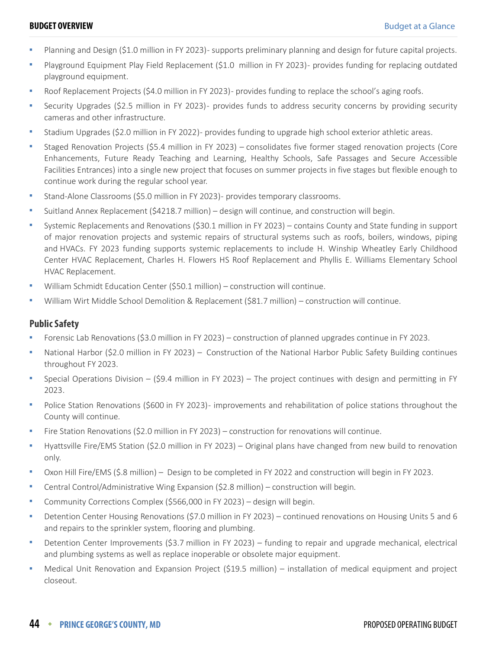- Planning and Design (\$1.0 million in FY 2023)- supports preliminary planning and design for future capital projects.
- Playground Equipment Play Field Replacement (\$1.0 million in FY 2023)- provides funding for replacing outdated playground equipment.
- Roof Replacement Projects (\$4.0 million in FY 2023) provides funding to replace the school's aging roofs.
- Security Upgrades (\$2.5 million in FY 2023) provides funds to address security concerns by providing security cameras and other infrastructure.
- Stadium Upgrades (\$2.0 million in FY 2022)- provides funding to upgrade high school exterior athletic areas.
- Staged Renovation Projects (\$5.4 million in FY 2023) consolidates five former staged renovation projects (Core Enhancements, Future Ready Teaching and Learning, Healthy Schools, Safe Passages and Secure Accessible Facilities Entrances) into a single new project that focuses on summer projects in five stages but flexible enough to continue work during the regular school year.
- Stand-Alone Classrooms (\$5.0 million in FY 2023) provides temporary classrooms.
- Suitland Annex Replacement (\$4218.7 million) design will continue, and construction will begin.
- Systemic Replacements and Renovations (\$30.1 million in FY 2023) contains County and State funding in support of major renovation projects and systemic repairs of structural systems such as roofs, boilers, windows, piping and HVACs. FY 2023 funding supports systemic replacements to include H. Winship Wheatley Early Childhood Center HVAC Replacement, Charles H. Flowers HS Roof Replacement and Phyllis E. Williams Elementary School HVAC Replacement.
- William Schmidt Education Center (\$50.1 million) construction will continue.
- William Wirt Middle School Demolition & Replacement (\$81.7 million) construction will continue.

#### **Public Safety**

- Forensic Lab Renovations (\$3.0 million in FY 2023) construction of planned upgrades continue in FY 2023.
- National Harbor (\$2.0 million in FY 2023) Construction of the National Harbor Public Safety Building continues throughout FY 2023.
- Special Operations Division (\$9.4 million in FY 2023) The project continues with design and permitting in FY 2023.
- Police Station Renovations (\$600 in FY 2023)- improvements and rehabilitation of police stations throughout the County will continue.
- Fire Station Renovations (\$2.0 million in FY 2023) construction for renovations will continue.
- Hyattsville Fire/EMS Station (\$2.0 million in FY 2023) Original plans have changed from new build to renovation only.
- Oxon Hill Fire/EMS (\$.8 million) Design to be completed in FY 2022 and construction will begin in FY 2023.
- Central Control/Administrative Wing Expansion (\$2.8 million) construction will begin.
- Community Corrections Complex (\$566,000 in FY 2023) design will begin.
- Detention Center Housing Renovations (\$7.0 million in FY 2023) continued renovations on Housing Units 5 and 6 and repairs to the sprinkler system, flooring and plumbing.
- Detention Center Improvements (\$3.7 million in FY 2023) funding to repair and upgrade mechanical, electrical and plumbing systems as well as replace inoperable or obsolete major equipment.
- Medical Unit Renovation and Expansion Project (\$19.5 million) installation of medical equipment and project closeout.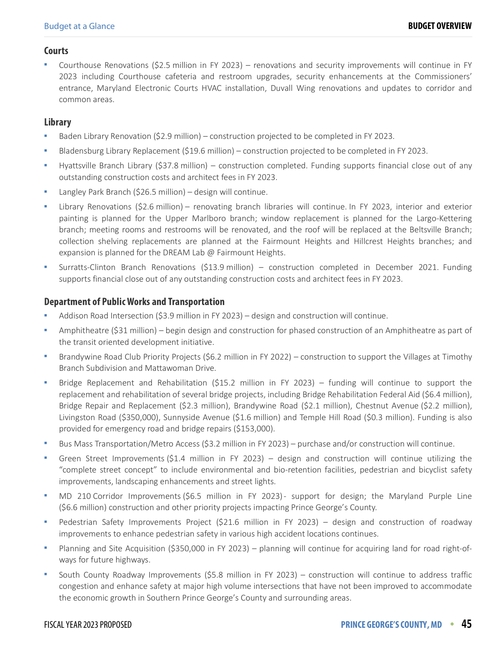#### **Courts**

 Courthouse Renovations (\$2.5 million in FY 2023) – renovations and security improvements will continue in FY 2023 including Courthouse cafeteria and restroom upgrades, security enhancements at the Commissioners' entrance, Maryland Electronic Courts HVAC installation, Duvall Wing renovations and updates to corridor and common areas.

#### **Library**

- Baden Library Renovation (\$2.9 million) construction projected to be completed in FY 2023.
- Bladensburg Library Replacement (\$19.6 million) construction projected to be completed in FY 2023.
- Hyattsville Branch Library (\$37.8 million) construction completed. Funding supports financial close out of any outstanding construction costs and architect fees in FY 2023.
- Langley Park Branch (\$26.5 million) design will continue.
- Library Renovations (\$2.6 million) renovating branch libraries will continue. In FY 2023, interior and exterior painting is planned for the Upper Marlboro branch; window replacement is planned for the Largo-Kettering branch; meeting rooms and restrooms will be renovated, and the roof will be replaced at the Beltsville Branch; collection shelving replacements are planned at the Fairmount Heights and Hillcrest Heights branches; and expansion is planned for the DREAM Lab @ Fairmount Heights.
- Surratts-Clinton Branch Renovations (\$13.9 million) construction completed in December 2021. Funding supports financial close out of any outstanding construction costs and architect fees in FY 2023.

#### **Department of Public Works and Transportation**

- Addison Road Intersection (\$3.9 million in FY 2023) design and construction will continue.
- Amphitheatre (\$31 million) begin design and construction for phased construction of an Amphitheatre as part of the transit oriented development initiative.
- Brandywine Road Club Priority Projects (\$6.2 million in FY 2022) construction to support the Villages at Timothy Branch Subdivision and Mattawoman Drive.
- Bridge Replacement and Rehabilitation (\$15.2 million in FY 2023) funding will continue to support the replacement and rehabilitation of several bridge projects, including Bridge Rehabilitation Federal Aid (\$6.4 million), Bridge Repair and Replacement (\$2.3 million), Brandywine Road (\$2.1 million), Chestnut Avenue (\$2.2 million), Livingston Road (\$350,000), Sunnyside Avenue (\$1.6 million) and Temple Hill Road (\$0.3 million). Funding is also provided for emergency road and bridge repairs (\$153,000).
- Bus Mass Transportation/Metro Access (\$3.2 million in FY 2023) purchase and/or construction will continue.
- Green Street Improvements (\$1.4 million in FY 2023) design and construction will continue utilizing the "complete street concept" to include environmental and bio-retention facilities, pedestrian and bicyclist safety improvements, landscaping enhancements and street lights.
- MD 210 Corridor Improvements (\$6.5 million in FY 2023) support for design; the Maryland Purple Line (\$6.6 million) construction and other priority projects impacting Prince George's County.
- Pedestrian Safety Improvements Project (\$21.6 million in FY 2023) design and construction of roadway improvements to enhance pedestrian safety in various high accident locations continues.
- Planning and Site Acquisition (\$350,000 in FY 2023) planning will continue for acquiring land for road right-ofways for future highways.
- South County Roadway Improvements (\$5.8 million in FY 2023) construction will continue to address traffic congestion and enhance safety at major high volume intersections that have not been improved to accommodate the economic growth in Southern Prince George's County and surrounding areas.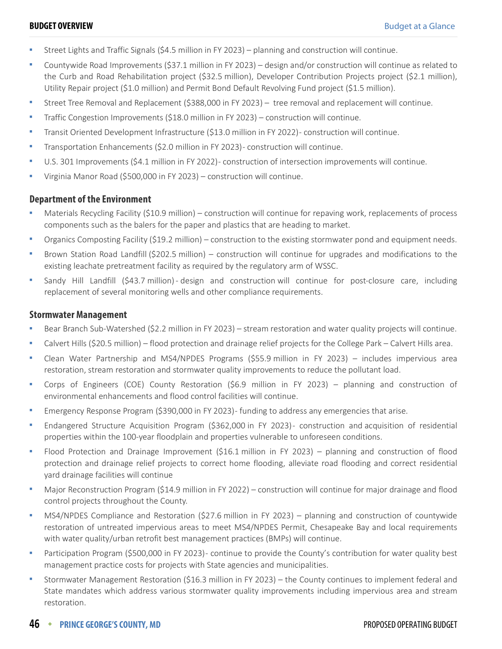- Street Lights and Traffic Signals (\$4.5 million in FY 2023) planning and construction will continue.
- Countywide Road Improvements (\$37.1 million in FY 2023) design and/or construction will continue as related to the Curb and Road Rehabilitation project (\$32.5 million), Developer Contribution Projects project (\$2.1 million), Utility Repair project (\$1.0 million) and Permit Bond Default Revolving Fund project (\$1.5 million).
- Street Tree Removal and Replacement (\$388,000 in FY 2023) tree removal and replacement will continue.
- Traffic Congestion Improvements (\$18.0 million in FY 2023) construction will continue.
- Transit Oriented Development Infrastructure (\$13.0 million in FY 2022) construction will continue.
- Transportation Enhancements (\$2.0 million in FY 2023) construction will continue.
- U.S. 301 Improvements (\$4.1 million in FY 2022)- construction of intersection improvements will continue.
- Virginia Manor Road (\$500,000 in FY 2023) construction will continue.

#### **Department of the Environment**

- Materials Recycling Facility (\$10.9 million) construction will continue for repaving work, replacements of process components such as the balers for the paper and plastics that are heading to market.
- Organics Composting Facility (\$19.2 million) construction to the existing stormwater pond and equipment needs.
- Brown Station Road Landfill (\$202.5 million) construction will continue for upgrades and modifications to the existing leachate pretreatment facility as required by the regulatory arm of WSSC.
- Sandy Hill Landfill (\$43.7 million) design and construction will continue for post-closure care, including replacement of several monitoring wells and other compliance requirements.

#### **Stormwater Management**

- Bear Branch Sub-Watershed (\$2.2 million in FY 2023) stream restoration and water quality projects will continue.
- Calvert Hills (\$20.5 million) flood protection and drainage relief projects for the College Park Calvert Hills area.
- Clean Water Partnership and MS4/NPDES Programs (\$55.9 million in FY 2023) includes impervious area restoration, stream restoration and stormwater quality improvements to reduce the pollutant load.
- Corps of Engineers (COE) County Restoration (\$6.9 million in FY 2023) planning and construction of environmental enhancements and flood control facilities will continue.
- Emergency Response Program (\$390,000 in FY 2023) funding to address any emergencies that arise.
- Endangered Structure Acquisition Program (\$362,000 in FY 2023) construction and acquisition of residential properties within the 100-year floodplain and properties vulnerable to unforeseen conditions.
- Flood Protection and Drainage Improvement (\$16.1 million in FY 2023) planning and construction of flood protection and drainage relief projects to correct home flooding, alleviate road flooding and correct residential yard drainage facilities will continue
- Major Reconstruction Program (\$14.9 million in FY 2022) construction will continue for major drainage and flood control projects throughout the County.
- MS4/NPDES Compliance and Restoration (\$27.6 million in FY 2023) planning and construction of countywide restoration of untreated impervious areas to meet MS4/NPDES Permit, Chesapeake Bay and local requirements with water quality/urban retrofit best management practices (BMPs) will continue.
- Participation Program (\$500,000 in FY 2023) continue to provide the County's contribution for water quality best management practice costs for projects with State agencies and municipalities.
- Stormwater Management Restoration (\$16.3 million in FY 2023) the County continues to implement federal and State mandates which address various stormwater quality improvements including impervious area and stream restoration.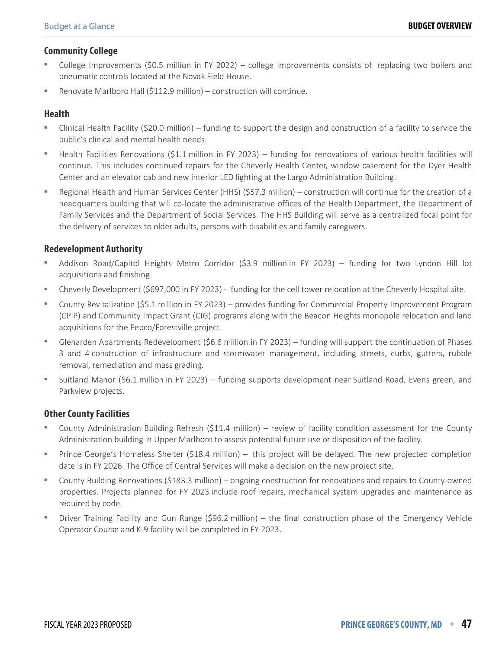#### **Community College**

- College Improvements (\$0.5 million in FY 2022) college improvements consists of replacing two boilers and pneumatic controls located at the Novak Field House.
- Renovate Marlboro Hall (\$112.9 million) construction will continue.

#### **Health**

- Clinical Health Facility (\$20.0 million) funding to support the design and construction of a facility to service the public's clinical and mental health needs.
- Health Facilities Renovations (\$1.1 million in FY 2023) funding for renovations of various health facilities will continue. This includes continued repairs for the Cheverly Health Center, window casement for the Dyer Health Center and an elevator cab and new interior LED lighting at the Largo Administration Building.
- Regional Health and Human Services Center (HHS) (\$57.3 million) construction will continue for the creation of a headquarters building that will co-locate the administrative offices of the Health Department, the Department of Family Services and the Department of Social Services. The HHS Building will serve as a centralized focal point for the delivery of services to older adults, persons with disabilities and family caregivers.

#### **Redevelopment Authority**

- Addison Road/Capitol Heights Metro Corridor (\$3.9 million in FY 2023) funding for two Lyndon Hill lot acquisitions and finishing.
- Cheverly Development (\$697,000 in FY 2023) funding for the cell tower relocation at the Cheverly Hospital site.
- County Revitalization (\$5.1 million in FY 2023) provides funding for Commercial Property Improvement Program (CPIP) and Community Impact Grant (CIG) programs along with the Beacon Heights monopole relocation and land acquisitions for the Pepco/Forestville project.
- Glenarden Apartments Redevelopment (\$6.6 million in FY 2023) funding will support the continuation of Phases 3 and 4 construction of infrastructure and stormwater management, including streets, curbs, gutters, rubble removal, remediation and mass grading.
- Suitland Manor (\$6.1 million in FY 2023) funding supports development near Suitland Road, Evens green, and Parkview projects.

#### **Other County Facilities**

- County Administration Building Refresh (\$11.4 million) review of facility condition assessment for the County Administration building in Upper Marlboro to assess potential future use or disposition of the facility.
- Prince George's Homeless Shelter (\$18.4 million) this project will be delayed. The new projected completion date is in FY 2026. The Office of Central Services will make a decision on the new project site.
- County Building Renovations (\$183.3 million) ongoing construction for renovations and repairs to County-owned properties. Projects planned for FY 2023 include roof repairs, mechanical system upgrades and maintenance as required by code.
- Driver Training Facility and Gun Range (\$96.2 million) the final construction phase of the Emergency Vehicle Operator Course and K-9 facility will be completed in FY 2023.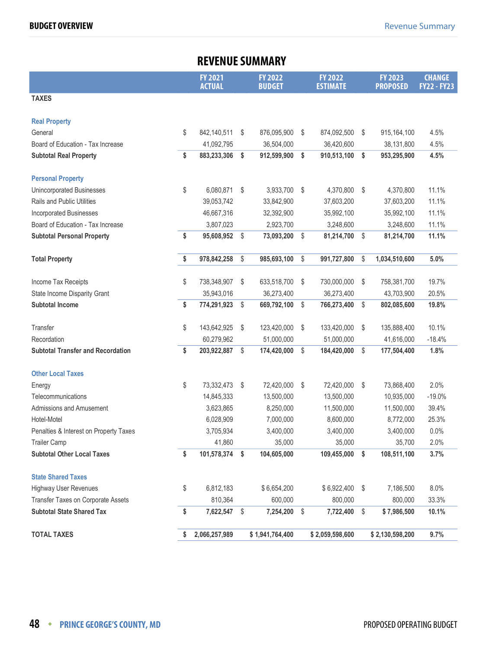<span id="page-15-0"></span>

|                                          |    | <b>REVENUE SUMMARY</b>          |     |                                 |                         |                                   |     |                                   |                                     |
|------------------------------------------|----|---------------------------------|-----|---------------------------------|-------------------------|-----------------------------------|-----|-----------------------------------|-------------------------------------|
|                                          |    | <b>FY 2021</b><br><b>ACTUAL</b> |     | <b>FY 2022</b><br><b>BUDGET</b> |                         | <b>FY 2022</b><br><b>ESTIMATE</b> |     | <b>FY 2023</b><br><b>PROPOSED</b> | <b>CHANGE</b><br><b>FY22 - FY23</b> |
| <b>TAXES</b>                             |    |                                 |     |                                 |                         |                                   |     |                                   |                                     |
| <b>Real Property</b>                     |    |                                 |     |                                 |                         |                                   |     |                                   |                                     |
| General                                  | \$ | 842,140,511                     | \$  | 876,095,900                     | \$                      | 874,092,500                       | \$  | 915,164,100                       | 4.5%                                |
| Board of Education - Tax Increase        |    | 41,092,795                      |     | 36,504,000                      |                         | 36,420,600                        |     | 38,131,800                        | 4.5%                                |
| <b>Subtotal Real Property</b>            | \$ | 883,233,306                     | \$  | 912,599,900                     | \$                      | 910,513,100                       | \$  | 953,295,900                       | 4.5%                                |
| <b>Personal Property</b>                 |    |                                 |     |                                 |                         |                                   |     |                                   |                                     |
| Unincorporated Businesses                | \$ | 6,080,871                       | \$  | 3,933,700 \$                    |                         | 4,370,800                         | -\$ | 4,370,800                         | 11.1%                               |
| <b>Rails and Public Utilities</b>        |    | 39,053,742                      |     | 33,842,900                      |                         | 37,603,200                        |     | 37,603,200                        | 11.1%                               |
| <b>Incorporated Businesses</b>           |    | 46,667,316                      |     | 32,392,900                      |                         | 35,992,100                        |     | 35,992,100                        | 11.1%                               |
| Board of Education - Tax Increase        |    | 3,807,023                       |     | 2,923,700                       |                         | 3,248,600                         |     | 3,248,600                         | 11.1%                               |
| <b>Subtotal Personal Property</b>        | \$ | 95,608,952                      | \$  | 73,093,200                      | -\$                     | 81,214,700                        | \$  | 81,214,700                        | 11.1%                               |
| <b>Total Property</b>                    | \$ | 978,842,258                     | \$  | 985,693,100                     | \$                      | 991,727,800                       | \$  | 1,034,510,600                     | 5.0%                                |
| Income Tax Receipts                      | \$ | 738,348,907                     | \$  | 633,518,700                     | \$                      | 730,000,000                       | \$  | 758,381,700                       | 19.7%                               |
| State Income Disparity Grant             |    | 35,943,016                      |     | 36,273,400                      |                         | 36,273,400                        |     | 43,703,900                        | 20.5%                               |
| <b>Subtotal Income</b>                   | \$ | 774,291,923                     | \$  | 669,792,100                     | \$                      | 766,273,400                       | \$  | 802,085,600                       | 19.8%                               |
| Transfer                                 | \$ | 143,642,925                     | \$  | 123,420,000                     | \$                      | 133,420,000                       | \$  | 135,888,400                       | 10.1%                               |
| Recordation                              |    | 60,279,962                      |     | 51,000,000                      |                         | 51,000,000                        |     | 41,616,000                        | $-18.4%$                            |
| <b>Subtotal Transfer and Recordation</b> | \$ | 203,922,887                     | \$  | 174,420,000                     | $\sqrt[6]{\frac{1}{2}}$ | 184,420,000                       | \$  | 177,504,400                       | 1.8%                                |
| <b>Other Local Taxes</b>                 |    |                                 |     |                                 |                         |                                   |     |                                   |                                     |
| Energy                                   | \$ | 73,332,473                      | \$  | 72,420,000                      | - \$                    | 72,420,000                        | \$  | 73,868,400                        | 2.0%                                |
| Telecommunications                       |    | 14,845,333                      |     | 13,500,000                      |                         | 13,500,000                        |     | 10,935,000                        | $-19.0%$                            |
| Admissions and Amusement                 |    | 3,623,865                       |     | 8,250,000                       |                         | 11,500,000                        |     | 11,500,000                        | 39.4%                               |
| Hotel-Motel                              |    | 6,028,909                       |     | 7,000,000                       |                         | 8,600,000                         |     | 8,772,000                         | 25.3%                               |
| Penalties & Interest on Property Taxes   |    | 3,705,934                       |     | 3,400,000                       |                         | 3,400,000                         |     | 3,400,000                         | 0.0%                                |
| <b>Trailer Camp</b>                      |    | 41,860                          |     | 35,000                          |                         | 35,000                            |     | 35,700                            | 2.0%                                |
| <b>Subtotal Other Local Taxes</b>        | \$ | 101,578,374 \$                  |     | 104,605,000                     |                         | 109,455,000                       | \$  | 108,511,100                       | 3.7%                                |
| <b>State Shared Taxes</b>                |    |                                 |     |                                 |                         |                                   |     |                                   |                                     |
| Highway User Revenues                    | \$ | 6,812,183                       |     | \$6,654,200                     |                         | $$6,922,400$ \$                   |     | 7,186,500                         | 8.0%                                |
| Transfer Taxes on Corporate Assets       |    | 810,364                         |     | 600,000                         |                         | 800,000                           |     | 800,000                           | 33.3%                               |
| <b>Subtotal State Shared Tax</b>         | \$ | 7,622,547                       | -\$ | 7,254,200 \$                    |                         | 7,722,400                         | \$  | \$7,986,500                       | 10.1%                               |
| <b>TOTAL TAXES</b>                       | S  | 2,066,257,989                   |     | \$1,941,764,400                 |                         | \$2,059,598,600                   |     | \$2,130,598,200                   | 9.7%                                |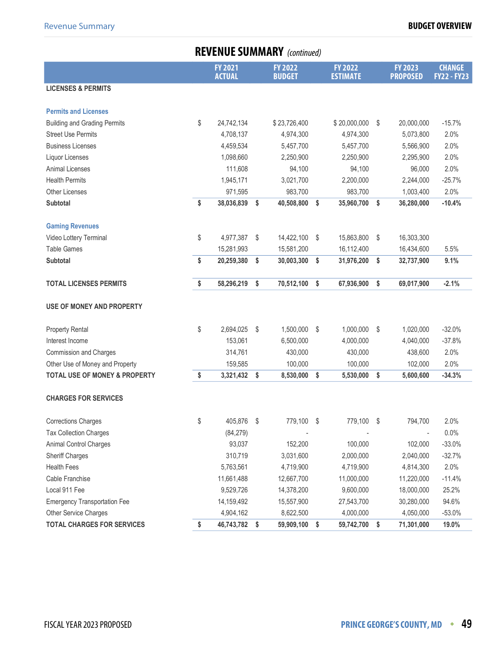## **REVENUE SUMMARY** (continued)

|                                          | <b>FY 2021</b><br><b>ACTUAL</b> | <b>FY 2022</b><br><b>BUDGET</b> | <b>FY 2022</b><br><b>ESTIMATE</b> | <b>FY 2023</b><br><b>PROPOSED</b> | <b>CHANGE</b><br><b>FY22 - FY23</b> |
|------------------------------------------|---------------------------------|---------------------------------|-----------------------------------|-----------------------------------|-------------------------------------|
| <b>LICENSES &amp; PERMITS</b>            |                                 |                                 |                                   |                                   |                                     |
|                                          |                                 |                                 |                                   |                                   |                                     |
| <b>Permits and Licenses</b>              |                                 |                                 |                                   |                                   |                                     |
| <b>Building and Grading Permits</b>      | \$<br>24,742,134                | \$23,726,400                    | \$20,000,000                      | \$<br>20,000,000                  | $-15.7%$                            |
| <b>Street Use Permits</b>                | 4,708,137                       | 4,974,300                       | 4,974,300                         | 5,073,800                         | 2.0%                                |
| <b>Business Licenses</b>                 | 4,459,534                       | 5,457,700                       | 5,457,700                         | 5,566,900                         | 2.0%                                |
| Liquor Licenses                          | 1,098,660                       | 2,250,900                       | 2,250,900                         | 2,295,900                         | 2.0%                                |
| <b>Animal Licenses</b>                   | 111,608                         | 94,100                          | 94,100                            | 96,000                            | 2.0%                                |
| <b>Health Permits</b>                    | 1,945,171                       | 3,021,700                       | 2,200,000                         | 2,244,000                         | $-25.7%$                            |
| <b>Other Licenses</b>                    | 971,595                         | 983,700                         | 983,700                           | 1,003,400                         | 2.0%                                |
| Subtotal                                 | \$<br>38,036,839                | \$<br>40,508,800                | \$<br>35,960,700                  | \$<br>36,280,000                  | $-10.4%$                            |
|                                          |                                 |                                 |                                   |                                   |                                     |
| <b>Gaming Revenues</b>                   |                                 |                                 |                                   |                                   |                                     |
| Video Lottery Terminal                   | \$<br>4,977,387                 | \$<br>14,422,100                | \$<br>15,863,800                  | \$<br>16,303,300                  |                                     |
| <b>Table Games</b>                       | 15,281,993                      | 15,581,200                      | 16,112,400                        | 16,434,600                        | 5.5%                                |
| <b>Subtotal</b>                          | \$<br>20,259,380                | \$<br>30,003,300                | \$<br>31,976,200                  | \$<br>32,737,900                  | 9.1%                                |
|                                          |                                 |                                 |                                   |                                   |                                     |
| <b>TOTAL LICENSES PERMITS</b>            | \$<br>58,296,219                | \$<br>70,512,100                | \$<br>67,936,900                  | \$<br>69,017,900                  | $-2.1%$                             |
| <b>USE OF MONEY AND PROPERTY</b>         |                                 |                                 |                                   |                                   |                                     |
|                                          |                                 |                                 |                                   |                                   |                                     |
| <b>Property Rental</b>                   | \$<br>2,694,025                 | \$<br>1,500,000                 | \$<br>1,000,000                   | \$<br>1,020,000                   | $-32.0%$                            |
| Interest Income                          | 153,061                         | 6,500,000                       | 4,000,000                         | 4,040,000                         | $-37.8%$                            |
| Commission and Charges                   | 314,761                         | 430,000                         | 430,000                           | 438,600                           | 2.0%                                |
| Other Use of Money and Property          | 159,585                         | 100,000                         | 100,000                           | 102,000                           | 2.0%                                |
| <b>TOTAL USE OF MONEY &amp; PROPERTY</b> | \$<br>3,321,432                 | \$<br>8,530,000                 | \$<br>5,530,000                   | \$<br>5,600,600                   | $-34.3%$                            |
| <b>CHARGES FOR SERVICES</b>              |                                 |                                 |                                   |                                   |                                     |
| <b>Corrections Charges</b>               | \$<br>405,876                   | \$<br>779,100                   | \$<br>779,100 \$                  | 794,700                           | 2.0%                                |
| <b>Tax Collection Charges</b>            | (84, 279)                       |                                 |                                   |                                   | 0.0%                                |
| Animal Control Charges                   | 93,037                          | 152,200                         | 100,000                           | 102,000                           | $-33.0%$                            |
| Sheriff Charges                          | 310,719                         | 3,031,600                       | 2,000,000                         | 2,040,000                         | $-32.7%$                            |
| <b>Health Fees</b>                       | 5,763,561                       | 4,719,900                       | 4,719,900                         | 4,814,300                         | 2.0%                                |
| Cable Franchise                          | 11,661,488                      | 12,667,700                      | 11,000,000                        | 11,220,000                        | $-11.4%$                            |
| Local 911 Fee                            | 9,529,726                       | 14,378,200                      | 9,600,000                         | 18,000,000                        | 25.2%                               |
| <b>Emergency Transportation Fee</b>      | 14,159,492                      | 15,557,900                      | 27,543,700                        | 30,280,000                        | 94.6%                               |
| Other Service Charges                    | 4,904,162                       | 8,622,500                       | 4,000,000                         | 4,050,000                         | $-53.0%$                            |
| <b>TOTAL CHARGES FOR SERVICES</b>        | \$<br>46,743,782                | \$<br>59,909,100                | \$<br>59,742,700                  | \$<br>71,301,000                  | 19.0%                               |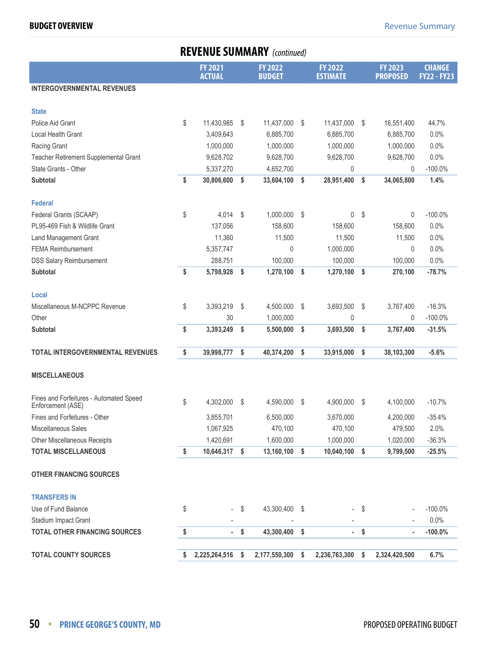|                                                              | <b>REVENUE SUMMARY</b> (continued) |                                 |                         |                                 |               |                                   |    |                                   |                                     |  |  |
|--------------------------------------------------------------|------------------------------------|---------------------------------|-------------------------|---------------------------------|---------------|-----------------------------------|----|-----------------------------------|-------------------------------------|--|--|
|                                                              |                                    | <b>FY 2021</b><br><b>ACTUAL</b> |                         | <b>FY 2022</b><br><b>BUDGET</b> |               | <b>FY 2022</b><br><b>ESTIMATE</b> |    | <b>FY 2023</b><br><b>PROPOSED</b> | <b>CHANGE</b><br><b>FY22 - FY23</b> |  |  |
| <b>INTERGOVERNMENTAL REVENUES</b>                            |                                    |                                 |                         |                                 |               |                                   |    |                                   |                                     |  |  |
| <b>State</b>                                                 |                                    |                                 |                         |                                 |               |                                   |    |                                   |                                     |  |  |
| Police Aid Grant                                             | \$                                 | 11,430,985                      | \$                      | 11,437,000                      | \$            | 11,437,000                        | S  | 16,551,400                        | 44.7%                               |  |  |
| <b>Local Health Grant</b>                                    |                                    | 3,409,643                       |                         | 6,885,700                       |               | 6,885,700                         |    | 6,885,700                         | 0.0%                                |  |  |
| Racing Grant                                                 |                                    | 1,000,000                       |                         | 1,000,000                       |               | 1,000,000                         |    | 1,000,000                         | 0.0%                                |  |  |
| Teacher Retirement Supplemental Grant                        |                                    | 9,628,702                       |                         | 9,628,700                       |               | 9,628,700                         |    | 9,628,700                         | 0.0%                                |  |  |
| State Grants - Other                                         |                                    | 5,337,270                       |                         | 4,652,700                       |               | 0                                 |    | 0                                 | $-100.0\%$                          |  |  |
| Subtotal                                                     | \$                                 | 30,806,600                      | \$                      | 33,604,100                      | s.            | 28,951,400                        | \$ | 34,065,800                        | 1.4%                                |  |  |
| <b>Federal</b>                                               |                                    |                                 |                         |                                 |               |                                   |    |                                   |                                     |  |  |
| Federal Grants (SCAAP)                                       | \$                                 | 4,014                           | \$                      | 1,000,000                       | $\sqrt[6]{3}$ | 0                                 | \$ | 0                                 | $-100.0\%$                          |  |  |
| PL95-469 Fish & Wildlife Grant                               |                                    | 137,056                         |                         | 158,600                         |               | 158,600                           |    | 158,600                           | 0.0%                                |  |  |
| Land Management Grant                                        |                                    | 11,360                          |                         | 11,500                          |               | 11,500                            |    | 11,500                            | 0.0%                                |  |  |
| <b>FEMA Reimbursement</b>                                    |                                    | 5,357,747                       |                         | 0                               |               | 1,000,000                         |    | 0                                 | 0.0%                                |  |  |
| <b>DSS Salary Reimbursement</b>                              |                                    | 288,751                         |                         | 100,000                         |               | 100,000                           |    | 100,000                           | 0.0%                                |  |  |
| <b>Subtotal</b>                                              | \$                                 | 5,798,928                       | \$                      | 1,270,100                       | \$            | 1,270,100                         | \$ | 270,100                           | $-78.7%$                            |  |  |
| Local                                                        |                                    |                                 |                         |                                 |               |                                   |    |                                   |                                     |  |  |
| Miscellaneous M-NCPPC Revenue                                | \$                                 | 3,393,219                       | \$                      | 4,500,000                       | \$            | 3,693,500                         | \$ | 3,767,400                         | $-16.3%$                            |  |  |
| Other                                                        |                                    | 30                              |                         | 1,000,000                       |               | 0                                 |    | 0                                 | $-100.0\%$                          |  |  |
| <b>Subtotal</b>                                              | \$                                 | 3,393,249                       | \$                      | 5,500,000                       | \$            | 3,693,500                         | \$ | 3,767,400                         | $-31.5%$                            |  |  |
| <b>TOTAL INTERGOVERNMENTAL REVENUES</b>                      | \$                                 | 39,998,777                      | \$                      | 40,374,200                      | \$            | 33,915,000                        | \$ | 38,103,300                        | $-5.6%$                             |  |  |
| <b>MISCELLANEOUS</b>                                         |                                    |                                 |                         |                                 |               |                                   |    |                                   |                                     |  |  |
|                                                              |                                    |                                 |                         |                                 |               |                                   |    |                                   |                                     |  |  |
| Fines and Forfeitures - Automated Speed<br>Enforcement (ASE) | \$                                 | 4,302,000                       | \$                      | 4,590,000                       | \$            | 4,900,000                         | \$ | 4,100,000                         | $-10.7%$                            |  |  |
| Fines and Forfeitures - Other                                |                                    | 3,855,701                       |                         | 6,500,000                       |               | 3,670,000                         |    | 4,200,000                         | $-35.4%$                            |  |  |
| Miscellaneous Sales                                          |                                    | 1,067,925                       |                         | 470,100                         |               | 470,100                           |    | 479,500                           | 2.0%                                |  |  |
| <b>Other Miscellaneous Receipts</b>                          |                                    | 1,420,691                       |                         | 1,600,000                       |               | 1,000,000                         |    | 1,020,000                         | $-36.3%$                            |  |  |
| <b>TOTAL MISCELLANEOUS</b>                                   | \$                                 | 10,646,317                      | \$                      | 13,160,100                      | \$            | 10,040,100                        | \$ | 9,799,500                         | $-25.5%$                            |  |  |
| <b>OTHER FINANCING SOURCES</b>                               |                                    |                                 |                         |                                 |               |                                   |    |                                   |                                     |  |  |
| <b>TRANSFERS IN</b>                                          |                                    |                                 |                         |                                 |               |                                   |    |                                   |                                     |  |  |
| Use of Fund Balance                                          | \$                                 |                                 | \$                      | 43,300,400                      | - \$          |                                   | \$ |                                   | $-100.0\%$                          |  |  |
| Stadium Impact Grant                                         |                                    |                                 |                         |                                 |               |                                   |    |                                   | 0.0%                                |  |  |
| <b>TOTAL OTHER FINANCING SOURCES</b>                         | \$                                 | ×,                              | $\sqrt[6]{\frac{1}{2}}$ | 43,300,400 \$                   |               | $\sim 10$                         | \$ | $\blacksquare$                    | $-100.0%$                           |  |  |
| <b>TOTAL COUNTY SOURCES</b>                                  | \$                                 | 2,225,264,516                   | \$                      | 2,177,550,300                   | \$            | 2,236,763,300                     | \$ | 2,324,420,500                     | 6.7%                                |  |  |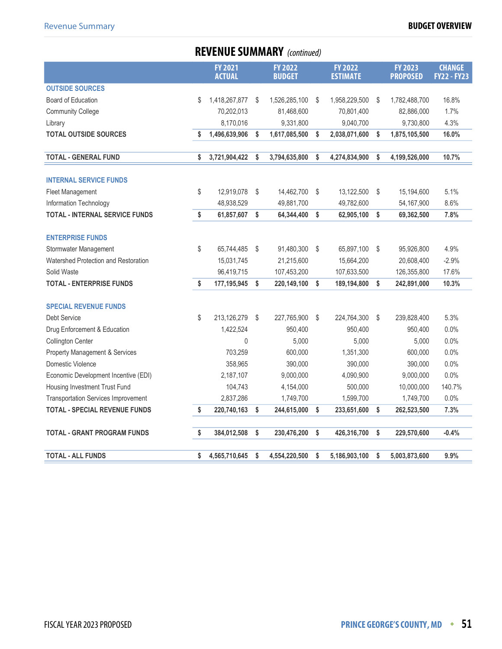## **REVENUE SUMMARY** (continued)

|                                            | <b>FY 2021</b><br><b>ACTUAL</b> |    | <b>FY 2022</b><br><b>BUDGET</b> |    | <b>FY 2022</b><br><b>ESTIMATE</b> | <b>FY 2023</b><br><b>PROPOSED</b> | <b>CHANGE</b><br><b>FY22 - FY23</b> |
|--------------------------------------------|---------------------------------|----|---------------------------------|----|-----------------------------------|-----------------------------------|-------------------------------------|
| <b>OUTSIDE SOURCES</b>                     |                                 |    |                                 |    |                                   |                                   |                                     |
| Board of Education                         | \$<br>1,418,267,877             | S  | 1,526,285,100                   | S  | 1,958,229,500                     | \$<br>1,782,488,700               | 16.8%                               |
| <b>Community College</b>                   | 70,202,013                      |    | 81,468,600                      |    | 70,801,400                        | 82,886,000                        | 1.7%                                |
| Library                                    | 8,170,016                       |    | 9,331,800                       |    | 9,040,700                         | 9,730,800                         | 4.3%                                |
| <b>TOTAL OUTSIDE SOURCES</b>               | \$<br>1,496,639,906             | S  | 1,617,085,500                   | \$ | 2,038,071,600                     | \$<br>1,875,105,500               | 16.0%                               |
|                                            |                                 |    |                                 |    |                                   |                                   |                                     |
| <b>TOTAL - GENERAL FUND</b>                | \$<br>3,721,904,422             | \$ | 3,794,635,800                   | \$ | 4,274,834,900                     | \$<br>4,199,526,000               | 10.7%                               |
|                                            |                                 |    |                                 |    |                                   |                                   |                                     |
| <b>INTERNAL SERVICE FUNDS</b>              |                                 |    |                                 |    |                                   |                                   |                                     |
| Fleet Management                           | \$<br>12,919,078                | \$ | 14,462,700                      | \$ | 13,122,500                        | \$<br>15,194,600                  | 5.1%                                |
| Information Technology                     | 48,938,529                      |    | 49,881,700                      |    | 49,782,600                        | 54, 167, 900                      | 8.6%                                |
| <b>TOTAL - INTERNAL SERVICE FUNDS</b>      | \$<br>61,857,607                | \$ | 64,344,400                      | \$ | 62,905,100                        | \$<br>69,362,500                  | 7.8%                                |
| <b>ENTERPRISE FUNDS</b>                    |                                 |    |                                 |    |                                   |                                   |                                     |
| Stormwater Management                      | \$<br>65,744,485                | \$ | 91,480,300                      | Ŝ. | 65,897,100                        | \$<br>95,926,800                  | 4.9%                                |
| Watershed Protection and Restoration       | 15,031,745                      |    | 21,215,600                      |    | 15,664,200                        | 20,608,400                        | $-2.9%$                             |
| Solid Waste                                | 96,419,715                      |    | 107,453,200                     |    | 107,633,500                       | 126,355,800                       | 17.6%                               |
| <b>TOTAL - ENTERPRISE FUNDS</b>            | \$<br>177,195,945               | \$ | 220,149,100                     | \$ | 189,194,800                       | \$<br>242,891,000                 | 10.3%                               |
|                                            |                                 |    |                                 |    |                                   |                                   |                                     |
| <b>SPECIAL REVENUE FUNDS</b>               |                                 |    |                                 |    |                                   |                                   |                                     |
| Debt Service                               | \$<br>213,126,279               | \$ | 227,765,900                     | \$ | 224,764,300                       | \$<br>239,828,400                 | 5.3%                                |
| Drug Enforcement & Education               | 1,422,524                       |    | 950,400                         |    | 950,400                           | 950,400                           | 0.0%                                |
| Collington Center                          | 0                               |    | 5,000                           |    | 5,000                             | 5,000                             | 0.0%                                |
| <b>Property Management &amp; Services</b>  | 703,259                         |    | 600,000                         |    | 1,351,300                         | 600,000                           | 0.0%                                |
| Domestic Violence                          | 358,965                         |    | 390,000                         |    | 390,000                           | 390,000                           | 0.0%                                |
| Economic Development Incentive (EDI)       | 2,187,107                       |    | 9,000,000                       |    | 4,090,900                         | 9,000,000                         | 0.0%                                |
| Housing Investment Trust Fund              | 104,743                         |    | 4,154,000                       |    | 500,000                           | 10,000,000                        | 140.7%                              |
| <b>Transportation Services Improvement</b> | 2,837,286                       |    | 1,749,700                       |    | 1,599,700                         | 1,749,700                         | 0.0%                                |
| <b>TOTAL - SPECIAL REVENUE FUNDS</b>       | \$<br>220,740,163               | \$ | 244,615,000                     | \$ | 233,651,600                       | \$<br>262,523,500                 | 7.3%                                |
| <b>TOTAL - GRANT PROGRAM FUNDS</b>         | \$<br>384,012,508               | \$ | 230,476,200                     | \$ | 426,316,700                       | \$<br>229,570,600                 | $-0.4%$                             |
|                                            |                                 |    |                                 |    |                                   |                                   |                                     |
| <b>TOTAL - ALL FUNDS</b>                   | \$<br>4,565,710,645             | \$ | 4,554,220,500                   | \$ | 5,186,903,100                     | \$<br>5,003,873,600               | 9.9%                                |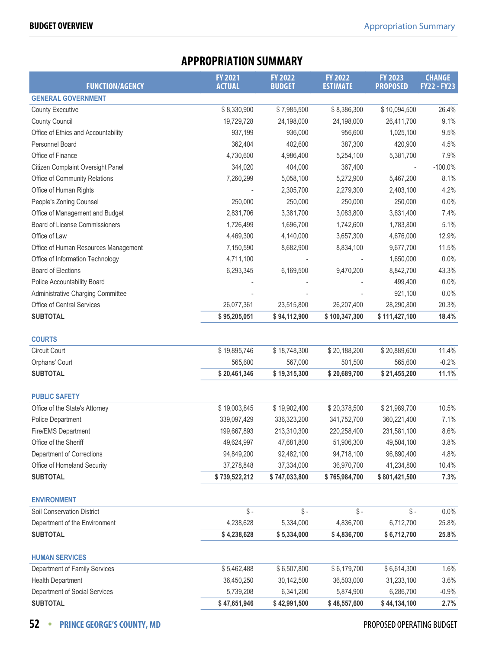<span id="page-19-0"></span>

|                                      | <b>APPROPRIATION SUMMARY</b>    |                                 |                                   |                                   |                                     |
|--------------------------------------|---------------------------------|---------------------------------|-----------------------------------|-----------------------------------|-------------------------------------|
| <b>FUNCTION/AGENCY</b>               | <b>FY 2021</b><br><b>ACTUAL</b> | <b>FY 2022</b><br><b>BUDGET</b> | <b>FY 2022</b><br><b>ESTIMATE</b> | <b>FY 2023</b><br><b>PROPOSED</b> | <b>CHANGE</b><br><b>FY22 - FY23</b> |
| <b>GENERAL GOVERNMENT</b>            |                                 |                                 |                                   |                                   |                                     |
| <b>County Executive</b>              | \$8,330,900                     | \$7,985,500                     | \$8,386,300                       | \$10,094,500                      | 26.4%                               |
| <b>County Council</b>                | 19,729,728                      | 24,198,000                      | 24,198,000                        | 26,411,700                        | 9.1%                                |
| Office of Ethics and Accountability  | 937,199                         | 936,000                         | 956,600                           | 1,025,100                         | 9.5%                                |
| Personnel Board                      | 362,404                         | 402,600                         | 387,300                           | 420,900                           | 4.5%                                |
| Office of Finance                    | 4,730,600                       | 4,986,400                       | 5,254,100                         | 5,381,700                         | 7.9%                                |
| Citizen Complaint Oversight Panel    | 344,020                         | 404,000                         | 367,400                           |                                   | $-100.0%$                           |
| Office of Community Relations        | 7,260,299                       | 5,058,100                       | 5,272,900                         | 5,467,200                         | 8.1%                                |
| Office of Human Rights               |                                 | 2,305,700                       | 2,279,300                         | 2,403,100                         | 4.2%                                |
| People's Zoning Counsel              | 250,000                         | 250,000                         | 250,000                           | 250,000                           | 0.0%                                |
| Office of Management and Budget      | 2,831,706                       | 3,381,700                       | 3,083,800                         | 3,631,400                         | 7.4%                                |
| Board of License Commissioners       | 1,726,499                       | 1,696,700                       | 1,742,600                         | 1,783,800                         | 5.1%                                |
| Office of Law                        | 4,469,300                       | 4,140,000                       | 3,657,300                         | 4,676,000                         | 12.9%                               |
| Office of Human Resources Management | 7,150,590                       | 8,682,900                       | 8,834,100                         | 9,677,700                         | 11.5%                               |
| Office of Information Technology     | 4,711,100                       |                                 |                                   | 1,650,000                         | 0.0%                                |
| <b>Board of Elections</b>            | 6,293,345                       | 6,169,500                       | 9,470,200                         | 8,842,700                         | 43.3%                               |
| Police Accountability Board          |                                 |                                 |                                   | 499,400                           | 0.0%                                |
| Administrative Charging Committee    |                                 |                                 |                                   | 921,100                           | 0.0%                                |
| Office of Central Services           | 26,077,361                      | 23,515,800                      | 26,207,400                        | 28,290,800                        | 20.3%                               |
| <b>SUBTOTAL</b>                      | \$95,205,051                    | \$94,112,900                    | \$100,347,300                     | \$111,427,100                     | 18.4%                               |
|                                      |                                 |                                 |                                   |                                   |                                     |
| <b>COURTS</b>                        |                                 |                                 |                                   |                                   |                                     |
| <b>Circuit Court</b>                 | \$19,895,746                    | \$18,748,300                    | \$20,188,200                      | \$20,889,600                      | 11.4%                               |
| Orphans' Court                       | 565,600                         | 567,000                         | 501,500                           | 565,600                           | $-0.2%$                             |
| <b>SUBTOTAL</b>                      | \$20,461,346                    | \$19,315,300                    | \$20,689,700                      | \$21,455,200                      | 11.1%                               |
| <b>PUBLIC SAFETY</b>                 |                                 |                                 |                                   |                                   |                                     |
| Office of the State's Attorney       | \$19,003,845                    | \$19,902,400                    | \$20,378,500                      | \$21,989,700                      | 10.5%                               |
| Police Department                    | 339,097,429                     | 336,323,200                     | 341,752,700                       | 360,221,400                       | 7.1%                                |
| Fire/EMS Department                  | 199,667,893                     | 213,310,300                     | 220,258,400                       | 231,581,100                       | 8.6%                                |
| Office of the Sheriff                | 49,624,997                      | 47,681,800                      | 51,906,300                        | 49,504,100                        | 3.8%                                |
| Department of Corrections            | 94,849,200                      | 92,482,100                      | 94,718,100                        | 96,890,400                        | 4.8%                                |
| Office of Homeland Security          | 37,278,848                      | 37,334,000                      | 36,970,700                        | 41,234,800                        | 10.4%                               |
| <b>SUBTOTAL</b>                      | \$739,522,212                   | \$747,033,800                   | \$765,984,700                     | \$801,421,500                     | 7.3%                                |
| <b>ENVIRONMENT</b>                   |                                 |                                 |                                   |                                   |                                     |
| Soil Conservation District           | $\$ -                           | $\mathcal{S}$ -                 | $\$ -                             | $\mathbb{S}$ -                    | 0.0%                                |
| Department of the Environment        | 4,238,628                       | 5,334,000                       | 4,836,700                         | 6,712,700                         | 25.8%                               |
| <b>SUBTOTAL</b>                      | \$4,238,628                     | \$5,334,000                     | \$4,836,700                       | \$6,712,700                       | 25.8%                               |
|                                      |                                 |                                 |                                   |                                   |                                     |
| <b>HUMAN SERVICES</b>                |                                 |                                 |                                   |                                   |                                     |
| Department of Family Services        | \$5,462,488                     | \$6,507,800                     | \$6,179,700                       | \$6,614,300                       | 1.6%                                |

## Health Department 1 1 1 36,450,250 30,142,500 36,503,000 31,233,100 3.6% Department of Social Services **5,739,208** 6,341,200 5,874,900 6,286,700 -0.9% **SUBTOTAL \$ 47,651,946 \$ 42,991,500 \$ 48,557,600 \$ 44,134,100 2.7%**

### **52 • PRINCE GEORGE'S COUNTY, MD PROPOSED OPERATING BUDGET**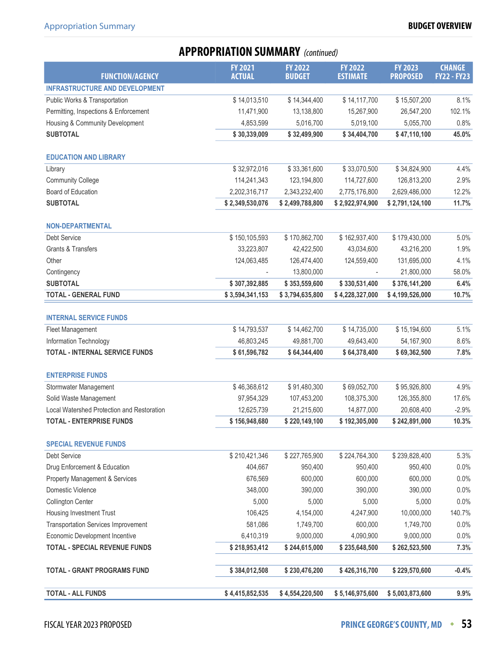## **APPROPRIATION SUMMARY** (continued)

| <b>FUNCTION/AGENCY</b>                     | <b>FY 2021</b><br><b>ACTUAL</b> | <b>FY 2022</b><br><b>BUDGET</b> | <b>FY 2022</b><br><b>ESTIMATE</b> | <b>FY 2023</b><br><b>PROPOSED</b> | <b>CHANGE</b><br><b>FY22 - FY23</b> |
|--------------------------------------------|---------------------------------|---------------------------------|-----------------------------------|-----------------------------------|-------------------------------------|
| <b>INFRASTRUCTURE AND DEVELOPMENT</b>      |                                 |                                 |                                   |                                   |                                     |
| Public Works & Transportation              | \$14,013,510                    | \$14,344,400                    | \$14,117,700                      | \$15,507,200                      | 8.1%                                |
| Permitting, Inspections & Enforcement      | 11,471,900                      | 13,138,800                      | 15,267,900                        | 26,547,200                        | 102.1%                              |
| Housing & Community Development            | 4,853,599                       | 5,016,700                       | 5,019,100                         | 5,055,700                         | 0.8%                                |
| <b>SUBTOTAL</b>                            | \$30,339,009                    | \$32,499,900                    | \$34,404,700                      | \$47,110,100                      | 45.0%                               |
|                                            |                                 |                                 |                                   |                                   |                                     |
| <b>EDUCATION AND LIBRARY</b>               |                                 |                                 |                                   |                                   |                                     |
| Library                                    | \$32,972,016                    | \$33,361,600                    | \$33,070,500                      | \$34,824,900                      | 4.4%                                |
| <b>Community College</b>                   | 114,241,343                     | 123,194,800                     | 114,727,600                       | 126,813,200                       | 2.9%                                |
| <b>Board of Education</b>                  | 2,202,316,717                   | 2,343,232,400                   | 2,775,176,800                     | 2,629,486,000                     | 12.2%                               |
| <b>SUBTOTAL</b>                            | \$2,349,530,076                 | \$2,499,788,800                 | \$2,922,974,900                   | \$2,791,124,100                   | 11.7%                               |
| <b>NON-DEPARTMENTAL</b>                    |                                 |                                 |                                   |                                   |                                     |
| Debt Service                               | \$150,105,593                   | \$170,862,700                   | \$162,937,400                     | \$179,430,000                     | 5.0%                                |
| Grants & Transfers                         | 33,223,807                      | 42,422,500                      | 43,034,600                        | 43,216,200                        | 1.9%                                |
| Other                                      | 124,063,485                     | 126,474,400                     | 124,559,400                       | 131,695,000                       | 4.1%                                |
| Contingency                                |                                 | 13,800,000                      |                                   | 21,800,000                        | 58.0%                               |
| <b>SUBTOTAL</b>                            | \$307,392,885                   | \$353,559,600                   | \$330,531,400                     | \$376,141,200                     | 6.4%                                |
| <b>TOTAL - GENERAL FUND</b>                | \$3,594,341,153                 | \$3,794,635,800                 | \$4,228,327,000                   | \$4,199,526,000                   | 10.7%                               |
|                                            |                                 |                                 |                                   |                                   |                                     |
| <b>INTERNAL SERVICE FUNDS</b>              |                                 |                                 |                                   |                                   |                                     |
| Fleet Management                           | \$14,793,537                    | \$14,462,700                    | \$14,735,000                      | \$15,194,600                      | 5.1%                                |
| Information Technology                     | 46,803,245                      | 49,881,700                      | 49,643,400                        | 54,167,900                        | 8.6%                                |
| <b>TOTAL - INTERNAL SERVICE FUNDS</b>      | \$61,596,782                    | \$64,344,400                    | \$64,378,400                      | \$69,362,500                      | 7.8%                                |
| <b>ENTERPRISE FUNDS</b>                    |                                 |                                 |                                   |                                   |                                     |
| Stormwater Management                      | \$46,368,612                    | \$91,480,300                    | \$69,052,700                      | \$95,926,800                      | 4.9%                                |
| Solid Waste Management                     | 97,954,329                      | 107,453,200                     | 108,375,300                       | 126,355,800                       | 17.6%                               |
| Local Watershed Protection and Restoration | 12,625,739                      | 21,215,600                      | 14,877,000                        | 20,608,400                        | $-2.9%$                             |
| <b>TOTAL - ENTERPRISE FUNDS</b>            | \$156,948,680                   | \$220,149,100                   | \$192,305,000                     | \$242,891,000                     | 10.3%                               |
|                                            |                                 |                                 |                                   |                                   |                                     |
| <b>SPECIAL REVENUE FUNDS</b>               |                                 |                                 |                                   |                                   |                                     |
| <b>Debt Service</b>                        | \$210,421,346                   | \$227,765,900                   | \$224,764,300                     | \$239,828,400                     | 5.3%                                |
| Drug Enforcement & Education               | 404,667                         | 950,400                         | 950,400                           | 950,400                           | 0.0%                                |
| Property Management & Services             | 676,569                         | 600,000                         | 600,000                           | 600,000                           | 0.0%                                |
| Domestic Violence                          | 348,000                         | 390,000                         | 390,000                           | 390,000                           | 0.0%                                |
| <b>Collington Center</b>                   | 5,000                           | 5,000                           | 5,000                             | 5,000                             | 0.0%                                |
| Housing Investment Trust                   | 106,425                         | 4,154,000                       | 4,247,900                         | 10,000,000                        | 140.7%                              |
| <b>Transportation Services Improvement</b> | 581,086                         | 1,749,700                       | 600,000                           | 1,749,700                         | 0.0%                                |
| Economic Development Incentive             | 6,410,319                       | 9,000,000                       | 4,090,900                         | 9,000,000                         | 0.0%                                |
| <b>TOTAL - SPECIAL REVENUE FUNDS</b>       | \$218,953,412                   | \$244,615,000                   | \$235,648,500                     | \$262,523,500                     | 7.3%                                |
| <b>TOTAL - GRANT PROGRAMS FUND</b>         | \$384,012,508                   | \$230,476,200                   | \$426,316,700                     | \$229,570,600                     | $-0.4%$                             |
| <b>TOTAL - ALL FUNDS</b>                   | \$4,415,852,535                 | \$4,554,220,500                 | \$5,146,975,600                   | \$5,003,873,600                   | 9.9%                                |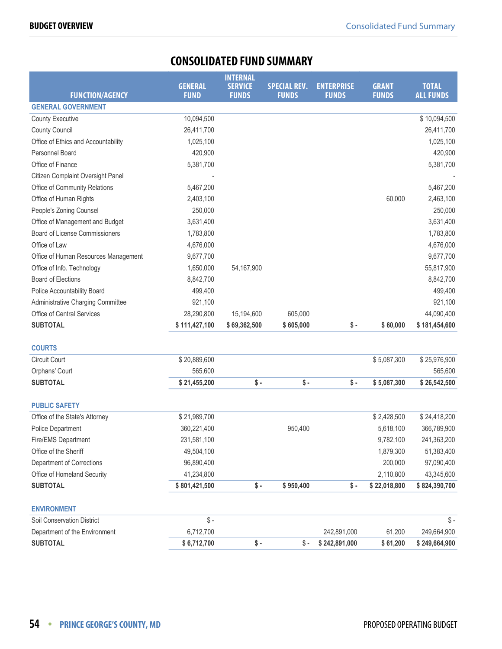## **CONSOLIDATED FUND SUMMARY**

<span id="page-21-0"></span>

|                                       |                               | <b>INTERNAL</b>                |                                     |                                   |                              |                                  |
|---------------------------------------|-------------------------------|--------------------------------|-------------------------------------|-----------------------------------|------------------------------|----------------------------------|
| <b>FUNCTION/AGENCY</b>                | <b>GENERAL</b><br><b>FUND</b> | <b>SERVICE</b><br><b>FUNDS</b> | <b>SPECIAL REV.</b><br><b>FUNDS</b> | <b>ENTERPRISE</b><br><b>FUNDS</b> | <b>GRANT</b><br><b>FUNDS</b> | <b>TOTAL</b><br><b>ALL FUNDS</b> |
| <b>GENERAL GOVERNMENT</b>             |                               |                                |                                     |                                   |                              |                                  |
| <b>County Executive</b>               | 10,094,500                    |                                |                                     |                                   |                              | \$10,094,500                     |
| <b>County Council</b>                 | 26,411,700                    |                                |                                     |                                   |                              | 26,411,700                       |
| Office of Ethics and Accountability   | 1,025,100                     |                                |                                     |                                   |                              | 1,025,100                        |
| Personnel Board                       | 420,900                       |                                |                                     |                                   |                              | 420,900                          |
| Office of Finance                     | 5,381,700                     |                                |                                     |                                   |                              | 5,381,700                        |
| Citizen Complaint Oversight Panel     |                               |                                |                                     |                                   |                              |                                  |
| Office of Community Relations         | 5,467,200                     |                                |                                     |                                   |                              | 5,467,200                        |
| Office of Human Rights                | 2,403,100                     |                                |                                     |                                   | 60,000                       | 2,463,100                        |
| People's Zoning Counsel               | 250,000                       |                                |                                     |                                   |                              | 250,000                          |
| Office of Management and Budget       | 3,631,400                     |                                |                                     |                                   |                              | 3,631,400                        |
| <b>Board of License Commissioners</b> | 1,783,800                     |                                |                                     |                                   |                              | 1,783,800                        |
| Office of Law                         | 4,676,000                     |                                |                                     |                                   |                              | 4,676,000                        |
| Office of Human Resources Management  | 9,677,700                     |                                |                                     |                                   |                              | 9,677,700                        |
| Office of Info. Technology            | 1,650,000                     | 54,167,900                     |                                     |                                   |                              | 55,817,900                       |
| <b>Board of Elections</b>             | 8,842,700                     |                                |                                     |                                   |                              | 8,842,700                        |
| Police Accountability Board           | 499,400                       |                                |                                     |                                   |                              | 499,400                          |
| Administrative Charging Committee     | 921,100                       |                                |                                     |                                   |                              | 921,100                          |
| Office of Central Services            | 28,290,800                    | 15,194,600                     | 605,000                             |                                   |                              | 44,090,400                       |
| <b>SUBTOTAL</b>                       | \$111,427,100                 | \$69,362,500                   | \$605,000                           | $\sqrt{$}$ .                      | \$60,000                     | \$181,454,600                    |
| <b>COURTS</b>                         |                               |                                |                                     |                                   |                              |                                  |
| Circuit Court                         | \$20,889,600                  |                                |                                     |                                   | \$5,087,300                  | \$25,976,900                     |
| Orphans' Court                        | 565,600                       |                                |                                     |                                   |                              | 565,600                          |
| <b>SUBTOTAL</b>                       | \$21,455,200                  | $$ -$                          | $\frac{1}{2}$                       | $\sqrt{s}$ -                      | \$5,087,300                  | \$26,542,500                     |
| <b>PUBLIC SAFETY</b>                  |                               |                                |                                     |                                   |                              |                                  |
| Office of the State's Attorney        | \$21,989,700                  |                                |                                     |                                   | \$2,428,500                  | \$24,418,200                     |
| Police Department                     | 360,221,400                   |                                | 950,400                             |                                   | 5,618,100                    | 366,789,900                      |
| Fire/EMS Department                   | 231,581,100                   |                                |                                     |                                   | 9,782,100                    | 241,363,200                      |
| Office of the Sheriff                 | 49,504,100                    |                                |                                     |                                   | 1,879,300                    | 51,383,400                       |
| Department of Corrections             | 96,890,400                    |                                |                                     |                                   | 200,000                      | 97,090,400                       |
| Office of Homeland Security           | 41,234,800                    |                                |                                     |                                   | 2,110,800                    | 43,345,600                       |
| <b>SUBTOTAL</b>                       | \$801,421,500                 | \$-                            | \$950,400                           | $\sqrt{$}$ .                      | \$22,018,800                 | \$824,390,700                    |
| <b>ENVIRONMENT</b>                    |                               |                                |                                     |                                   |                              |                                  |
| Soil Conservation District            | $\mathsf S$ -                 |                                |                                     |                                   |                              | $\frac{1}{2}$                    |
| Department of the Environment         | 6,712,700                     |                                |                                     | 242,891,000                       | 61,200                       | 249,664,900                      |
| <b>SUBTOTAL</b>                       | \$6,712,700                   | \$-                            | \$-                                 | \$242,891,000                     | \$61,200                     | \$249,664,900                    |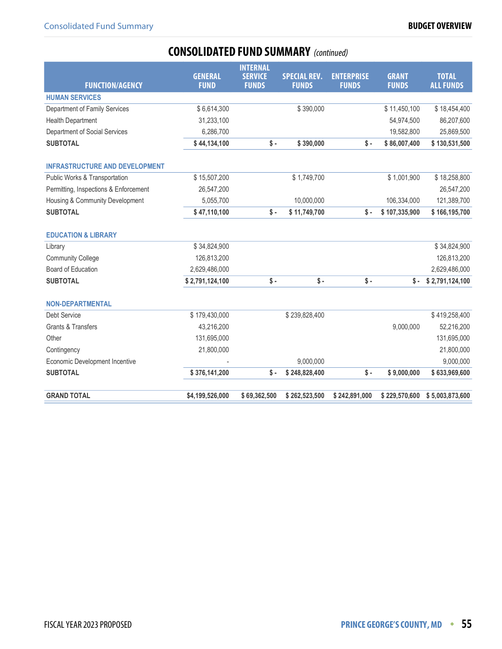## **CONSOLIDATED FUND SUMMARY** (continued)

|                                       | <b>GENERAL</b>  | <b>INTERNAL</b>                |                                     | <b>ENTERPRISE</b> | <b>GRANT</b>    | <b>TOTAL</b>     |
|---------------------------------------|-----------------|--------------------------------|-------------------------------------|-------------------|-----------------|------------------|
| <b>FUNCTION/AGENCY</b>                | <b>FUND</b>     | <b>SERVICE</b><br><b>FUNDS</b> | <b>SPECIAL REV.</b><br><b>FUNDS</b> | <b>FUNDS</b>      | <b>FUNDS</b>    | <b>ALL FUNDS</b> |
| <b>HUMAN SERVICES</b>                 |                 |                                |                                     |                   |                 |                  |
| Department of Family Services         | \$6,614,300     |                                | \$390,000                           |                   | \$11,450,100    | \$18,454,400     |
| <b>Health Department</b>              | 31,233,100      |                                |                                     |                   | 54,974,500      | 86,207,600       |
| Department of Social Services         | 6,286,700       |                                |                                     |                   | 19,582,800      | 25,869,500       |
| <b>SUBTOTAL</b>                       | \$44,134,100    | $\sqrt{s}$ -                   | \$390,000                           | $\sqrt{$}$ .      | \$86,007,400    | \$130,531,500    |
| <b>INFRASTRUCTURE AND DEVELOPMENT</b> |                 |                                |                                     |                   |                 |                  |
| Public Works & Transportation         | \$15,507,200    |                                | \$1,749,700                         |                   | \$1,001,900     | \$18,258,800     |
| Permitting, Inspections & Enforcement | 26,547,200      |                                |                                     |                   |                 | 26,547,200       |
| Housing & Community Development       | 5,055,700       |                                | 10,000,000                          |                   | 106,334,000     | 121,389,700      |
| <b>SUBTOTAL</b>                       | \$47,110,100    | $\sqrt{s}$ -                   | \$11,749,700                        | \$-               | \$107,335,900   | \$166,195,700    |
| <b>EDUCATION &amp; LIBRARY</b>        |                 |                                |                                     |                   |                 |                  |
| Library                               | \$34,824,900    |                                |                                     |                   |                 | \$34,824,900     |
| <b>Community College</b>              | 126,813,200     |                                |                                     |                   |                 | 126,813,200      |
| Board of Education                    | 2,629,486,000   |                                |                                     |                   |                 | 2,629,486,000    |
| <b>SUBTOTAL</b>                       | \$2,791,124,100 | $\sqrt{s}$ -                   | $\sqrt{$}$ -                        | $\sqrt{s}$ .      | $\mathsf{\$}$ . | \$2,791,124,100  |
| <b>NON-DEPARTMENTAL</b>               |                 |                                |                                     |                   |                 |                  |
| Debt Service                          | \$179,430,000   |                                | \$239,828,400                       |                   |                 | \$419,258,400    |
| <b>Grants &amp; Transfers</b>         | 43,216,200      |                                |                                     |                   | 9,000,000       | 52,216,200       |
| Other                                 | 131,695,000     |                                |                                     |                   |                 | 131,695,000      |
| Contingency                           | 21,800,000      |                                |                                     |                   |                 | 21,800,000       |
| Economic Development Incentive        |                 |                                | 9,000,000                           |                   |                 | 9,000,000        |
| <b>SUBTOTAL</b>                       | \$376,141,200   | $\frac{1}{2}$ -                | \$248,828,400                       | $\sqrt{$}$ .      | \$9,000,000     | \$633,969,600    |
| <b>GRAND TOTAL</b>                    | \$4,199,526,000 | \$69,362,500                   | \$262,523,500                       | \$242,891,000     | \$229,570,600   | \$5,003,873,600  |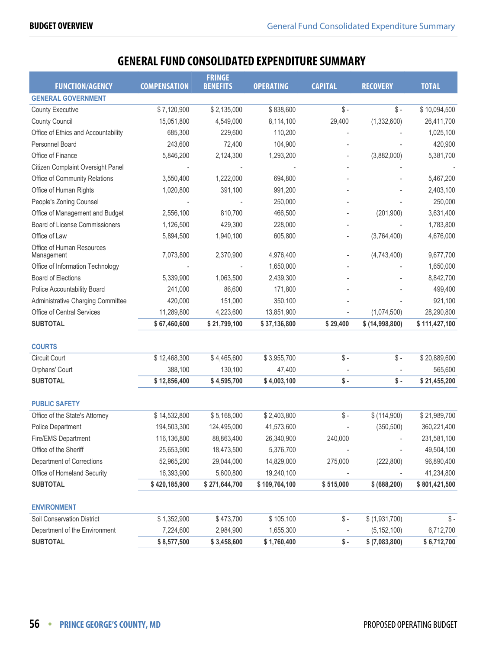## **GENERAL FUND CONSOLIDATED EXPENDITURE SUMMARY**

<span id="page-23-0"></span>

|                                         |                     | <b>FRINGE</b>   |                  |                 |                 |               |
|-----------------------------------------|---------------------|-----------------|------------------|-----------------|-----------------|---------------|
| <b>FUNCTION/AGENCY</b>                  | <b>COMPENSATION</b> | <b>BENEFITS</b> | <b>OPERATING</b> | <b>CAPITAL</b>  | <b>RECOVERY</b> | <b>TOTAL</b>  |
| <b>GENERAL GOVERNMENT</b>               |                     |                 |                  |                 |                 |               |
| <b>County Executive</b>                 | \$7,120,900         | \$2,135,000     | \$838,600        | $\$\$ -         | $\frac{1}{2}$ - | \$10,094,500  |
| <b>County Council</b>                   | 15,051,800          | 4,549,000       | 8,114,100        | 29,400          | (1, 332, 600)   | 26,411,700    |
| Office of Ethics and Accountability     | 685,300             | 229,600         | 110,200          |                 |                 | 1,025,100     |
| Personnel Board                         | 243,600             | 72,400          | 104,900          |                 |                 | 420,900       |
| Office of Finance                       | 5,846,200           | 2,124,300       | 1,293,200        |                 | (3,882,000)     | 5,381,700     |
| Citizen Complaint Oversight Panel       |                     |                 |                  |                 |                 |               |
| Office of Community Relations           | 3,550,400           | 1,222,000       | 694,800          |                 |                 | 5,467,200     |
| Office of Human Rights                  | 1,020,800           | 391,100         | 991,200          |                 |                 | 2,403,100     |
| People's Zoning Counsel                 |                     |                 | 250,000          |                 |                 | 250,000       |
| Office of Management and Budget         | 2,556,100           | 810,700         | 466,500          |                 | (201, 900)      | 3,631,400     |
| Board of License Commissioners          | 1,126,500           | 429,300         | 228,000          |                 |                 | 1,783,800     |
| Office of Law                           | 5,894,500           | 1,940,100       | 605,800          |                 | (3,764,400)     | 4,676,000     |
| Office of Human Resources<br>Management | 7,073,800           | 2,370,900       | 4,976,400        |                 | (4,743,400)     | 9,677,700     |
| Office of Information Technology        |                     |                 | 1,650,000        |                 |                 | 1,650,000     |
| <b>Board of Elections</b>               | 5,339,900           | 1,063,500       | 2,439,300        |                 |                 | 8,842,700     |
| Police Accountability Board             | 241,000             | 86,600          | 171,800          |                 |                 | 499,400       |
| Administrative Charging Committee       | 420,000             | 151,000         | 350,100          |                 |                 | 921,100       |
| Office of Central Services              | 11,289,800          | 4,223,600       | 13,851,900       |                 | (1,074,500)     | 28,290,800    |
| <b>SUBTOTAL</b>                         | \$67,460,600        | \$21,799,100    | \$37,136,800     | \$29,400        | \$ (14,998,800) | \$111,427,100 |
|                                         |                     |                 |                  |                 |                 |               |
| <b>COURTS</b>                           |                     |                 |                  |                 |                 |               |
| Circuit Court                           | \$12,468,300        | \$4,465,600     | \$3,955,700      | $$ -$           | $\$ -           | \$20,889,600  |
| Orphans' Court                          | 388,100             | 130,100         | 47,400           |                 |                 | 565,600       |
| <b>SUBTOTAL</b>                         | \$12,856,400        | \$4,595,700     | \$4,003,100      | $$ -$           | \$-             | \$21,455,200  |
| <b>PUBLIC SAFETY</b>                    |                     |                 |                  |                 |                 |               |
| Office of the State's Attorney          | \$14,532,800        | \$5,168,000     | \$2,403,800      | $$ -$           | \$(114,900)     | \$21,989,700  |
| Police Department                       | 194,503,300         | 124,495,000     | 41,573,600       |                 | (350, 500)      | 360,221,400   |
| Fire/EMS Department                     | 116,136,800         | 88,863,400      | 26,340,900       | 240,000         |                 | 231,581,100   |
| Office of the Sheriff                   | 25,653,900          | 18,473,500      | 5,376,700        |                 |                 | 49,504,100    |
| Department of Corrections               | 52,965,200          | 29,044,000      | 14,829,000       | 275,000         | (222, 800)      | 96,890,400    |
| Office of Homeland Security             | 16,393,900          | 5,600,800       | 19,240,100       |                 |                 | 41,234,800    |
| <b>SUBTOTAL</b>                         | \$420,185,900       | \$271,644,700   | \$109,764,100    | \$515,000       | \$ (688, 200)   | \$801,421,500 |
|                                         |                     |                 |                  |                 |                 |               |
| <b>ENVIRONMENT</b>                      |                     |                 |                  |                 |                 |               |
| Soil Conservation District              | \$1,352,900         | \$473,700       | \$105,100        | $\frac{1}{2}$ - | \$ (1,931,700)  | \$-           |
| Department of the Environment           | 7,224,600           | 2,984,900       | 1,655,300        |                 | (5, 152, 100)   | 6,712,700     |
| <b>SUBTOTAL</b>                         | \$8,577,500         | \$3,458,600     | \$1,760,400      | $\$ -           | \$ (7,083,800)  | \$6,712,700   |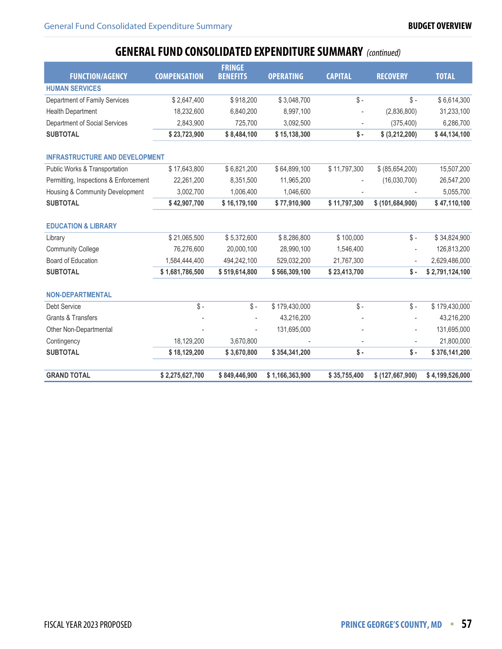## **GENERAL FUND CONSOLIDATED EXPENDITURE SUMMARY** (continued)

| <b>FUNCTION/AGENCY</b>                | <b>COMPENSATION</b> | <b>FRINGE</b><br><b>BENEFITS</b> | <b>OPERATING</b> | <b>CAPITAL</b>  | <b>RECOVERY</b>          | <b>TOTAL</b>    |
|---------------------------------------|---------------------|----------------------------------|------------------|-----------------|--------------------------|-----------------|
| <b>HUMAN SERVICES</b>                 |                     |                                  |                  |                 |                          |                 |
| Department of Family Services         | \$2,647,400         | \$918,200                        | \$3,048,700      | $\mathsf{\$}$ - | $\mathsf{\$}$ -          | \$6,614,300     |
| <b>Health Department</b>              | 18,232,600          | 6,840,200                        | 8,997,100        |                 | (2,836,800)              | 31,233,100      |
| Department of Social Services         | 2,843,900           | 725,700                          | 3,092,500        | $\overline{a}$  | (375, 400)               | 6,286,700       |
| <b>SUBTOTAL</b>                       | \$23,723,900        | \$8,484,100                      | \$15,138,300     | $\mathsf{\$}$ . | \$ (3,212,200)           | \$44,134,100    |
| <b>INFRASTRUCTURE AND DEVELOPMENT</b> |                     |                                  |                  |                 |                          |                 |
| Public Works & Transportation         | \$17,643,800        | \$6,821,200                      | \$64,899,100     | \$11,797,300    | \$ (85,654,200)          | 15,507,200      |
| Permitting, Inspections & Enforcement | 22,261,200          | 8,351,500                        | 11,965,200       |                 | (16,030,700)             | 26,547,200      |
| Housing & Community Development       | 3,002,700           | 1,006,400                        | 1,046,600        |                 |                          | 5,055,700       |
| <b>SUBTOTAL</b>                       | \$42,907,700        | \$16,179,100                     | \$77,910,900     | \$11,797,300    | \$(101,684,900)          | \$47,110,100    |
| <b>EDUCATION &amp; LIBRARY</b>        |                     |                                  |                  |                 |                          |                 |
| Library                               | \$21,065,500        | \$5,372,600                      | \$8,286,800      | \$100,000       | $\frac{2}{3}$ -          | \$34,824,900    |
| <b>Community College</b>              | 76,276,600          | 20,000,100                       | 28,990,100       | 1,546,400       |                          | 126,813,200     |
| Board of Education                    | 1,584,444,400       | 494,242,100                      | 529,032,200      | 21,767,300      | $\overline{\phantom{a}}$ | 2,629,486,000   |
| <b>SUBTOTAL</b>                       | \$1,681,786,500     | \$519,614,800                    | \$566,309,100    | \$23,413,700    | $\sqrt{s}$ -             | \$2,791,124,100 |
| <b>NON-DEPARTMENTAL</b>               |                     |                                  |                  |                 |                          |                 |
| Debt Service                          | $\mathcal{S}$ -     | $\$\$ -                          | \$179,430,000    | $\mathsf{\$}$ - | $\mathsf{\$}$ -          | \$179,430,000   |
| <b>Grants &amp; Transfers</b>         |                     |                                  | 43,216,200       |                 |                          | 43,216,200      |
| Other Non-Departmental                |                     |                                  | 131,695,000      |                 |                          | 131,695,000     |
| Contingency                           | 18,129,200          | 3,670,800                        |                  |                 |                          | 21,800,000      |
| <b>SUBTOTAL</b>                       | \$18,129,200        | \$3,670,800                      | \$354,341,200    | $\sqrt{s}$ -    | $\sqrt{s}$ -             | \$376,141,200   |
| <b>GRAND TOTAL</b>                    | \$2,275,627,700     | \$849,446,900                    | \$1,166,363,900  | \$35,755,400    | \$ (127, 667, 900)       | \$4,199,526,000 |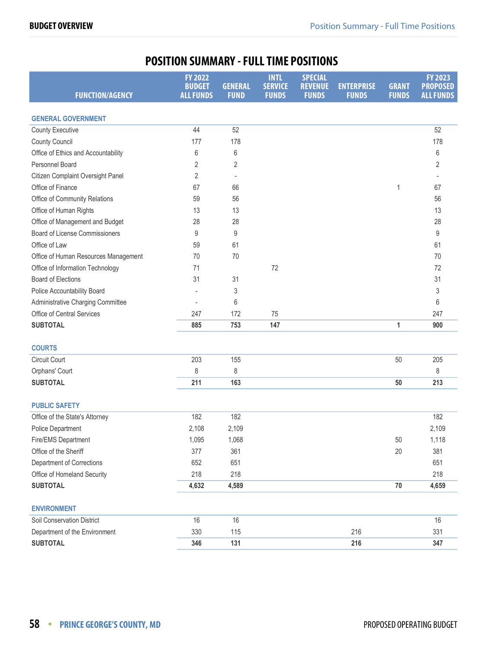## **POSITION SUMMARY - FULL TIME POSITIONS**

<span id="page-25-0"></span>

| <b>FUNCTION/AGENCY</b>               | <b>FY 2022</b><br><b>BUDGET</b><br><b>ALL FUNDS</b> | <b>GENERAL</b><br><b>FUND</b> | <b>INTL</b><br><b>SERVICE</b><br><b>FUNDS</b> | <b>SPECIAL</b><br><b>REVENUE</b><br><b>FUNDS</b> | <b>ENTERPRISE</b><br><b>FUNDS</b> | <b>GRANT</b><br><b>FUNDS</b> | <b>FY 2023</b><br><b>PROPOSED</b><br><b>ALL FUNDS</b> |
|--------------------------------------|-----------------------------------------------------|-------------------------------|-----------------------------------------------|--------------------------------------------------|-----------------------------------|------------------------------|-------------------------------------------------------|
| <b>GENERAL GOVERNMENT</b>            |                                                     |                               |                                               |                                                  |                                   |                              |                                                       |
| <b>County Executive</b>              | 44                                                  | 52                            |                                               |                                                  |                                   |                              | 52                                                    |
| <b>County Council</b>                | 177                                                 | 178                           |                                               |                                                  |                                   |                              | 178                                                   |
| Office of Ethics and Accountability  | 6                                                   | 6                             |                                               |                                                  |                                   |                              | 6                                                     |
| Personnel Board                      | 2                                                   | 2                             |                                               |                                                  |                                   |                              | 2                                                     |
| Citizen Complaint Oversight Panel    | 2                                                   |                               |                                               |                                                  |                                   |                              |                                                       |
| Office of Finance                    | 67                                                  | 66                            |                                               |                                                  |                                   | 1                            | 67                                                    |
| Office of Community Relations        | 59                                                  | 56                            |                                               |                                                  |                                   |                              | 56                                                    |
| Office of Human Rights               | 13                                                  | 13                            |                                               |                                                  |                                   |                              | 13                                                    |
| Office of Management and Budget      | 28                                                  | 28                            |                                               |                                                  |                                   |                              | 28                                                    |
| Board of License Commissioners       | 9                                                   | 9                             |                                               |                                                  |                                   |                              | 9                                                     |
| Office of Law                        | 59                                                  | 61                            |                                               |                                                  |                                   |                              | 61                                                    |
| Office of Human Resources Management | 70                                                  | 70                            |                                               |                                                  |                                   |                              | 70                                                    |
| Office of Information Technology     | 71                                                  |                               | 72                                            |                                                  |                                   |                              | 72                                                    |
| <b>Board of Elections</b>            | 31                                                  | 31                            |                                               |                                                  |                                   |                              | 31                                                    |
| Police Accountability Board          |                                                     | 3                             |                                               |                                                  |                                   |                              | 3                                                     |
| Administrative Charging Committee    | $\overline{\phantom{a}}$                            | 6                             |                                               |                                                  |                                   |                              | 6                                                     |
| Office of Central Services           | 247                                                 | 172                           | 75                                            |                                                  |                                   |                              | 247                                                   |
| <b>SUBTOTAL</b>                      | 885                                                 | 753                           | 147                                           |                                                  |                                   | 1                            | 900                                                   |
| <b>COURTS</b>                        |                                                     |                               |                                               |                                                  |                                   |                              |                                                       |
| <b>Circuit Court</b>                 | 203                                                 | 155                           |                                               |                                                  |                                   | 50                           | 205                                                   |
| Orphans' Court                       | 8                                                   | 8                             |                                               |                                                  |                                   |                              | 8                                                     |
| <b>SUBTOTAL</b>                      | 211                                                 | 163                           |                                               |                                                  |                                   | 50                           | 213                                                   |
| <b>PUBLIC SAFETY</b>                 |                                                     |                               |                                               |                                                  |                                   |                              |                                                       |
| Office of the State's Attorney       | 182                                                 | 182                           |                                               |                                                  |                                   |                              | 182                                                   |
| Police Department                    | 2,108                                               | 2,109                         |                                               |                                                  |                                   |                              | 2,109                                                 |
| Fire/EMS Department                  | 1,095                                               | 1,068                         |                                               |                                                  |                                   | 50                           | 1,118                                                 |
| Office of the Sheriff                | 377                                                 | 361                           |                                               |                                                  |                                   | 20                           | 381                                                   |
| Department of Corrections            | 652                                                 | 651                           |                                               |                                                  |                                   |                              | 651                                                   |
| Office of Homeland Security          | 218                                                 | 218                           |                                               |                                                  |                                   |                              | 218                                                   |
| <b>SUBTOTAL</b>                      | 4,632                                               | 4,589                         |                                               |                                                  |                                   | $70\,$                       | 4,659                                                 |
| <b>ENVIRONMENT</b>                   |                                                     |                               |                                               |                                                  |                                   |                              |                                                       |
| Soil Conservation District           | 16                                                  | 16                            |                                               |                                                  |                                   |                              | 16                                                    |
| Department of the Environment        | 330                                                 | 115                           |                                               |                                                  | 216                               |                              | 331                                                   |
| <b>SUBTOTAL</b>                      | 346                                                 | 131                           |                                               |                                                  | 216                               |                              | 347                                                   |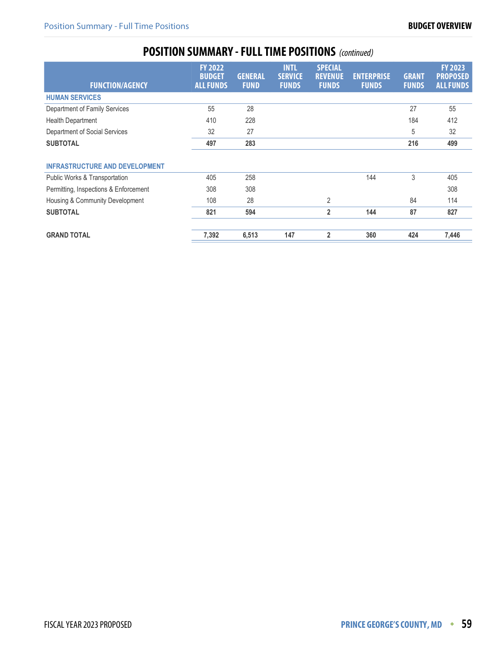## **POSITION SUMMARY - FULL TIME POSITIONS** (continued)

| <b>FUNCTION/AGENCY</b>                | <b>FY 2022</b><br><b>BUDGET</b><br><b>ALL FUNDS</b> | <b>GENERAL</b><br><b>FUND</b> | <b>INTL</b><br><b>SERVICE</b><br><b>FUNDS</b> | <b>SPECIAL</b><br><b>REVENUE</b><br><b>FUNDS</b> | <b>ENTERPRISE</b><br><b>FUNDS</b> | <b>GRANT</b><br><b>FUNDS</b> | <b>FY 2023</b><br><b>PROPOSED</b><br><b>ALL FUNDS</b> |
|---------------------------------------|-----------------------------------------------------|-------------------------------|-----------------------------------------------|--------------------------------------------------|-----------------------------------|------------------------------|-------------------------------------------------------|
| <b>HUMAN SERVICES</b>                 |                                                     |                               |                                               |                                                  |                                   |                              |                                                       |
| Department of Family Services         | 55                                                  | 28                            |                                               |                                                  |                                   | 27                           | 55                                                    |
| <b>Health Department</b>              | 410                                                 | 228                           |                                               |                                                  |                                   | 184                          | 412                                                   |
| Department of Social Services         | 32                                                  | 27                            |                                               |                                                  |                                   | 5                            | 32                                                    |
| <b>SUBTOTAL</b>                       | 497                                                 | 283                           |                                               |                                                  |                                   | 216                          | 499                                                   |
| <b>INFRASTRUCTURE AND DEVELOPMENT</b> |                                                     |                               |                                               |                                                  |                                   |                              |                                                       |
| Public Works & Transportation         | 405                                                 | 258                           |                                               |                                                  | 144                               | 3                            | 405                                                   |
| Permitting, Inspections & Enforcement | 308                                                 | 308                           |                                               |                                                  |                                   |                              | 308                                                   |
| Housing & Community Development       | 108                                                 | 28                            |                                               | $\overline{2}$                                   |                                   | 84                           | 114                                                   |
| <b>SUBTOTAL</b>                       | 821                                                 | 594                           |                                               | $\overline{2}$                                   | 144                               | 87                           | 827                                                   |
| <b>GRAND TOTAL</b>                    | 7,392                                               | 6,513                         | 147                                           | $\overline{2}$                                   | 360                               | 424                          | 7,446                                                 |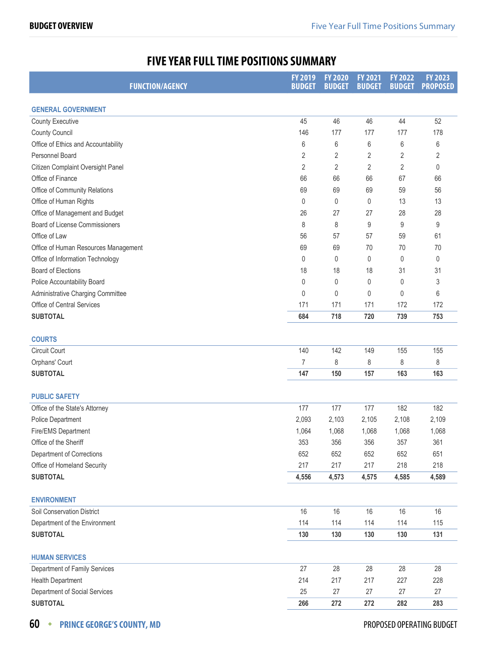## **FIVE YEAR FULL TIME POSITIONS SUMMARY**

<span id="page-27-0"></span>

| <b>FUNCTION/AGENCY</b>               | FY 2019<br><b>BUDGET</b> | <b>FY 2020</b><br><b>BUDGET</b> | <b>FY 2021</b><br><b>BUDGET</b> | <b>FY 2022</b><br><b>BUDGET</b> | <b>FY 2023</b><br><b>PROPOSED</b> |
|--------------------------------------|--------------------------|---------------------------------|---------------------------------|---------------------------------|-----------------------------------|
| <b>GENERAL GOVERNMENT</b>            |                          |                                 |                                 |                                 |                                   |
| <b>County Executive</b>              | 45                       | 46                              | 46                              | 44                              | 52                                |
| <b>County Council</b>                | 146                      | 177                             | 177                             | 177                             | 178                               |
| Office of Ethics and Accountability  | 6                        | 6                               | 6                               | 6                               | 6                                 |
| Personnel Board                      | 2                        | 2                               | $\overline{2}$                  | 2                               | 2                                 |
| Citizen Complaint Oversight Panel    | 2                        | $\overline{2}$                  | $\overline{2}$                  | $\overline{2}$                  | 0                                 |
| Office of Finance                    | 66                       | 66                              | 66                              | 67                              | 66                                |
| Office of Community Relations        | 69                       | 69                              | 69                              | 59                              | 56                                |
| Office of Human Rights               | 0                        | 0                               | 0                               | 13                              | 13                                |
| Office of Management and Budget      | 26                       | 27                              | 27                              | 28                              | 28                                |
| Board of License Commissioners       | 8                        | 8                               | 9                               | 9                               | 9                                 |
| Office of Law                        | 56                       | 57                              | 57                              | 59                              | 61                                |
| Office of Human Resources Management | 69                       | 69                              | 70                              | 70                              | 70                                |
| Office of Information Technology     | 0                        | 0                               | 0                               | 0                               | 0                                 |
| <b>Board of Elections</b>            | 18                       | 18                              | 18                              | 31                              | 31                                |
| Police Accountability Board          | 0                        | 0                               | 0                               | 0                               | 3                                 |
| Administrative Charging Committee    | $\mathbf{0}$             | 0                               | 0                               | $\theta$                        | 6                                 |
| <b>Office of Central Services</b>    | 171                      | 171                             | 171                             | 172                             | 172                               |
| <b>SUBTOTAL</b>                      | 684                      | 718                             | 720                             | 739                             | 753                               |
|                                      |                          |                                 |                                 |                                 |                                   |
| <b>COURTS</b>                        |                          |                                 |                                 |                                 |                                   |
| Circuit Court                        | 140                      | 142                             | 149                             | 155                             | 155                               |
| Orphans' Court                       | 7                        | 8                               | 8                               | 8                               | 8                                 |
| <b>SUBTOTAL</b>                      | 147                      | 150                             | 157                             | 163                             | 163                               |
|                                      |                          |                                 |                                 |                                 |                                   |
| <b>PUBLIC SAFETY</b>                 |                          |                                 |                                 |                                 |                                   |
| Office of the State's Attorney       | 177                      | 177                             | 177                             | 182                             | 182                               |
| Police Department                    | 2,093                    | 2,103                           | 2,105                           | 2,108                           | 2,109                             |
| Fire/EMS Department                  | 1,064                    | 1,068                           | 1,068                           | 1,068                           | 1,068                             |
| Office of the Sheriff                | 353                      | 356                             | 356                             | 357                             | 361                               |
| Department of Corrections            | 652                      | 652                             | 652                             | 652                             | 651                               |
| Office of Homeland Security          | 217                      | 217                             | 217                             | 218                             | 218                               |
| <b>SUBTOTAL</b>                      | 4,556                    | 4,573                           | 4,575                           | 4,585                           | 4,589                             |
| <b>ENVIRONMENT</b>                   |                          |                                 |                                 |                                 |                                   |
| Soil Conservation District           | 16                       | 16                              | 16                              | 16                              | 16                                |
| Department of the Environment        | 114                      | 114                             | 114                             | 114                             | 115                               |
| <b>SUBTOTAL</b>                      | 130                      | 130                             | 130                             | 130                             | 131                               |
|                                      |                          |                                 |                                 |                                 |                                   |
| <b>HUMAN SERVICES</b>                |                          |                                 |                                 |                                 |                                   |
| Department of Family Services        | 27                       | 28                              | 28                              | 28                              | 28                                |
| <b>Health Department</b>             | 214                      | 217                             | 217                             | 227                             | 228                               |
| Department of Social Services        | 25                       | 27                              | 27                              | 27                              | 27                                |
| <b>SUBTOTAL</b>                      | 266                      | 272                             | 272                             | 282                             | 283                               |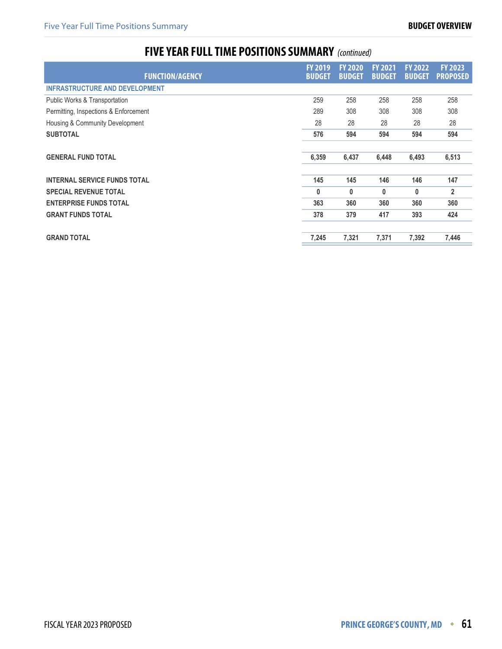## **FIVE YEAR FULL TIME POSITIONS SUMMARY** (continued)

| <b>FUNCTION/AGENCY</b>                | <b>FY 2019</b><br><b>BUDGET</b> | <b>FY 2020</b><br><b>BUDGET</b> | <b>FY 2021</b><br><b>BUDGET</b> | <b>FY 2022</b><br><b>BUDGET</b> | <b>FY 2023</b><br><b>PROPOSED</b> |
|---------------------------------------|---------------------------------|---------------------------------|---------------------------------|---------------------------------|-----------------------------------|
| <b>INFRASTRUCTURE AND DEVELOPMENT</b> |                                 |                                 |                                 |                                 |                                   |
| Public Works & Transportation         | 259                             | 258                             | 258                             | 258                             | 258                               |
| Permitting, Inspections & Enforcement | 289                             | 308                             | 308                             | 308                             | 308                               |
| Housing & Community Development       | 28                              | 28                              | 28                              | 28                              | 28                                |
| <b>SUBTOTAL</b>                       | 576                             | 594                             | 594                             | 594                             | 594                               |
| <b>GENERAL FUND TOTAL</b>             | 6,359                           | 6,437                           | 6,448                           | 6,493                           | 6,513                             |
| <b>INTERNAL SERVICE FUNDS TOTAL</b>   | 145                             | 145                             | 146                             | 146                             | 147                               |
| <b>SPECIAL REVENUE TOTAL</b>          | 0                               | 0                               | 0                               | 0                               | $\overline{2}$                    |
| <b>ENTERPRISE FUNDS TOTAL</b>         | 363                             | 360                             | 360                             | 360                             | 360                               |
| <b>GRANT FUNDS TOTAL</b>              | 378                             | 379                             | 417                             | 393                             | 424                               |
| <b>GRAND TOTAL</b>                    | 7,245                           | 7,321                           | 7,371                           | 7,392                           | 7,446                             |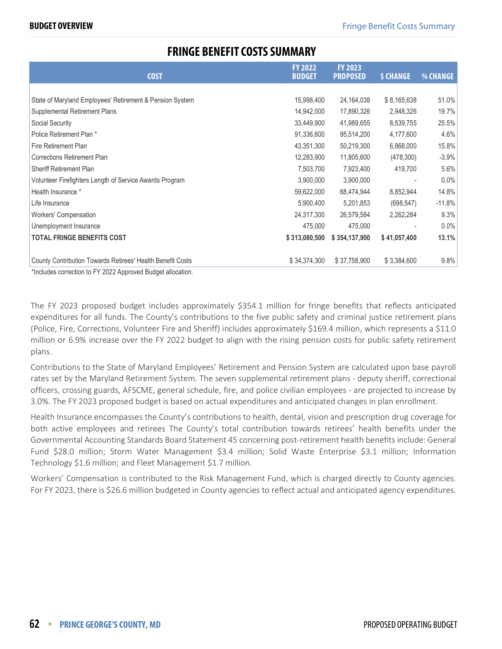### **FRINGE BENEFIT COSTS SUMMARY**

<span id="page-29-0"></span>

| <b>COST</b>                                                | <b>FY 2022</b><br><b>BUDGET</b> | <b>FY 2023</b><br><b>PROPOSED</b> | <b>\$ CHANGE</b> | % CHANGE |
|------------------------------------------------------------|---------------------------------|-----------------------------------|------------------|----------|
|                                                            |                                 |                                   |                  |          |
| State of Maryland Employees' Retirement & Pension System   | 15,998,400                      | 24,164,038                        | \$8,165,638      | 51.0%    |
| Supplemental Retirement Plans                              | 14,942,000                      | 17,890,326                        | 2,948,326        | 19.7%    |
| Social Security                                            | 33,449,900                      | 41,989,655                        | 8,539,755        | 25.5%    |
| Police Retirement Plan *                                   | 91,336,600                      | 95,514,200                        | 4,177,600        | 4.6%     |
| Fire Retirement Plan                                       | 43,351,300                      | 50,219,300                        | 6,868,000        | 15.8%    |
| <b>Corrections Retirement Plan</b>                         | 12,283,900                      | 11,805,600                        | (478,300)        | $-3.9\%$ |
| <b>Sheriff Retirement Plan</b>                             | 7,503,700                       | 7,923,400                         | 419,700          | $5.6\%$  |
| Volunteer Firefighters Length of Service Awards Program    | 3,900,000                       | 3,900,000                         |                  | 0.0%     |
| Health Insurance *                                         | 59,622,000                      | 68,474,944                        | 8,852,944        | 14.8%    |
| Life Insurance                                             | 5,900,400                       | 5,201,853                         | (698, 547)       | $-11.8%$ |
| Workers' Compensation                                      | 24,317,300                      | 26,579,584                        | 2,262,284        | 9.3%     |
| Unemployment Insurance                                     | 475,000                         | 475,000                           |                  | 0.0%     |
| <b>TOTAL FRINGE BENEFITS COST</b>                          | \$313,080,500                   | \$354,137,900                     | \$41,057,400     | 13.1%    |
| County Contribution Towards Retirees' Health Benefit Costs | \$34,374,300                    | \$37,758,900                      | \$3,384,600      | 9.8%     |

\*Includes correction to FY 2022 Approved Budget allocation.

The FY 2023 proposed budget includes approximately \$354.1 million for fringe benefits that reflects anticipated expenditures for all funds. The County's contributions to the five public safety and criminal justice retirement plans (Police, Fire, Corrections, Volunteer Fire and Sheriff) includes approximately \$169.4 million, which represents a \$11.0 million or 6.9% increase over the FY 2022 budget to align with the rising pension costs for public safety retirement plans.

Contributions to the State of Maryland Employees' Retirement and Pension System are calculated upon base payroll rates set by the Maryland Retirement System. The seven supplemental retirement plans - deputy sheriff, correctional officers, crossing guards, AFSCME, general schedule, fire, and police civilian employees - are projected to increase by 3.0%. The FY 2023 proposed budget is based on actual expenditures and anticipated changes in plan enrollment.

Health Insurance encompasses the County's contributions to health, dental, vision and prescription drug coverage for both active employees and retirees The County's total contribution towards retirees' health benefits under the Governmental Accounting Standards Board Statement 45 concerning post-retirement health benefits include: General Fund \$28.0 million; Storm Water Management \$3.4 million; Solid Waste Enterprise \$3.1 million; Information Technology \$1.6 million; and Fleet Management \$1.7 million.

Workers' Compensation is contributed to the Risk Management Fund, which is charged directly to County agencies. For FY 2023, there is \$26.6 million budgeted in County agencies to reflect actual and anticipated agency expenditures.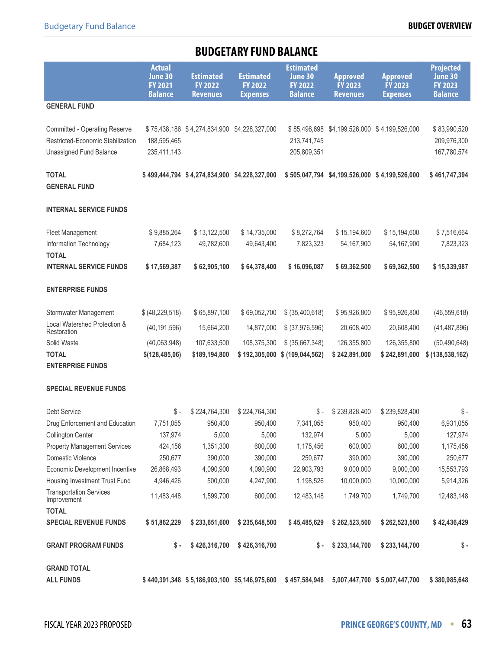## **BUDGETARY FUND BALANCE**

<span id="page-30-0"></span>

|                                                                                                      | <b>Actual</b><br>June 30<br><b>FY 2021</b><br><b>Balance</b> | <b>Estimated</b><br><b>FY 2022</b><br><b>Revenues</b> | <b>Estimated</b><br><b>FY 2022</b><br><b>Expenses</b> | <b>Estimated</b><br>June 30<br><b>FY 2022</b><br><b>Balance</b> | <b>Approved</b><br><b>FY 2023</b><br><b>Revenues</b> | <b>Approved</b><br><b>FY 2023</b><br><b>Expenses</b> | <b>Projected</b><br>June 30<br><b>FY 2023</b><br><b>Balance</b> |
|------------------------------------------------------------------------------------------------------|--------------------------------------------------------------|-------------------------------------------------------|-------------------------------------------------------|-----------------------------------------------------------------|------------------------------------------------------|------------------------------------------------------|-----------------------------------------------------------------|
| <b>GENERAL FUND</b>                                                                                  |                                                              |                                                       |                                                       |                                                                 |                                                      |                                                      |                                                                 |
| <b>Committed - Operating Reserve</b><br>Restricted-Economic Stabilization<br>Unassigned Fund Balance | 188,595,465<br>235,411,143                                   | \$75,438,186 \$4,274,834,900 \$4,228,327,000          |                                                       | \$85,496,698<br>213,741,745<br>205,809,351                      |                                                      | \$4,199,526,000 \$4,199,526,000                      | \$83,990,520<br>209,976,300<br>167,780,574                      |
| <b>TOTAL</b><br><b>GENERAL FUND</b>                                                                  |                                                              | \$499,444,794 \$4,274,834,900 \$4,228,327,000         |                                                       | \$505,047,794                                                   |                                                      | \$4,199,526,000 \$4,199,526,000                      | \$461,747,394                                                   |
| <b>INTERNAL SERVICE FUNDS</b>                                                                        |                                                              |                                                       |                                                       |                                                                 |                                                      |                                                      |                                                                 |
| <b>Fleet Management</b><br>Information Technology<br><b>TOTAL</b>                                    | \$9,885,264<br>7,684,123                                     | \$13,122,500<br>49,782,600                            | \$14,735,000<br>49,643,400                            | \$8,272,764<br>7,823,323                                        | \$15,194,600<br>54,167,900                           | \$15,194,600<br>54,167,900                           | \$7,516,664<br>7,823,323                                        |
| <b>INTERNAL SERVICE FUNDS</b>                                                                        | \$17,569,387                                                 | \$62,905,100                                          | \$64,378,400                                          | \$16,096,087                                                    | \$69,362,500                                         | \$69,362,500                                         | \$15,339,987                                                    |
| <b>ENTERPRISE FUNDS</b>                                                                              |                                                              |                                                       |                                                       |                                                                 |                                                      |                                                      |                                                                 |
| Stormwater Management                                                                                | \$ (48, 229, 518)                                            | \$65,897,100                                          | \$69,052,700                                          | \$ (35,400,618)                                                 | \$95,926,800                                         | \$95,926,800                                         | (46, 559, 618)                                                  |
| Local Watershed Protection &<br>Restoration                                                          | (40, 191, 596)                                               | 15,664,200                                            | 14,877,000                                            | \$ (37,976,596)                                                 | 20,608,400                                           | 20,608,400                                           | (41, 487, 896)                                                  |
| Solid Waste                                                                                          | (40,063,948)                                                 | 107,633,500                                           | 108,375,300                                           | \$ (35,667,348)                                                 | 126,355,800                                          | 126,355,800                                          | (50, 490, 648)                                                  |
| <b>TOTAL</b>                                                                                         | \$(128, 485, 06)                                             | \$189,194,800                                         | \$192,305,000                                         | \$ (109, 044, 562)                                              | \$242,891,000                                        | \$242,891,000                                        | \$ (138, 538, 162)                                              |
| <b>ENTERPRISE FUNDS</b>                                                                              |                                                              |                                                       |                                                       |                                                                 |                                                      |                                                      |                                                                 |
| <b>SPECIAL REVENUE FUNDS</b>                                                                         |                                                              |                                                       |                                                       |                                                                 |                                                      |                                                      |                                                                 |
| <b>Debt Service</b>                                                                                  | $\mathbb{S}$ -                                               | \$224,764,300                                         | \$224,764,300                                         | $\mathbb{S}$ -                                                  | \$239,828,400                                        | \$239,828,400                                        | \$ -                                                            |
| Drug Enforcement and Education                                                                       | 7,751,055                                                    | 950,400                                               | 950,400                                               | 7,341,055                                                       | 950,400                                              | 950,400                                              | 6,931,055                                                       |
| <b>Collington Center</b>                                                                             | 137,974                                                      | 5,000                                                 | 5,000                                                 | 132,974                                                         | 5,000                                                | 5,000                                                | 127,974                                                         |
| <b>Property Management Services</b>                                                                  | 424,156                                                      | 1,351,300                                             | 600,000                                               | 1,175,456                                                       | 600,000                                              | 600,000                                              | 1,175,456                                                       |
| Domestic Violence                                                                                    | 250,677                                                      | 390,000                                               | 390,000                                               | 250,677                                                         | 390,000                                              | 390,000                                              | 250,677                                                         |
| Economic Development Incentive                                                                       | 26,868,493                                                   | 4,090,900                                             | 4,090,900                                             | 22,903,793                                                      | 9,000,000                                            | 9,000,000                                            | 15,553,793                                                      |
| Housing Investment Trust Fund                                                                        | 4,946,426                                                    | 500,000                                               | 4,247,900                                             | 1,198,526                                                       | 10,000,000                                           | 10,000,000                                           | 5,914,326                                                       |
| <b>Transportation Services</b><br>Improvement                                                        | 11,483,448                                                   | 1,599,700                                             | 600,000                                               | 12,483,148                                                      | 1,749,700                                            | 1,749,700                                            | 12,483,148                                                      |
| <b>TOTAL</b>                                                                                         |                                                              |                                                       |                                                       |                                                                 |                                                      |                                                      |                                                                 |
| <b>SPECIAL REVENUE FUNDS</b>                                                                         | \$51,862,229                                                 | \$233,651,600                                         | \$235,648,500                                         | \$45,485,629                                                    | \$262,523,500                                        | \$262,523,500                                        | \$42,436,429                                                    |
| <b>GRANT PROGRAM FUNDS</b>                                                                           | \$-                                                          | \$426,316,700                                         | \$426,316,700                                         | \$-                                                             | \$233,144,700                                        | \$233,144,700                                        | \$-                                                             |
| <b>GRAND TOTAL</b>                                                                                   |                                                              |                                                       |                                                       |                                                                 |                                                      |                                                      |                                                                 |
| <b>ALL FUNDS</b>                                                                                     |                                                              | \$440,391,348 \$5,186,903,100 \$5,146,975,600         |                                                       | \$457,584,948                                                   |                                                      | 5,007,447,700 \$5,007,447,700                        | \$380,985,648                                                   |